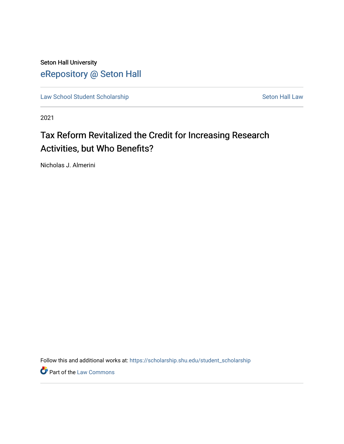Seton Hall University [eRepository @ Seton Hall](https://scholarship.shu.edu/)

[Law School Student Scholarship](https://scholarship.shu.edu/student_scholarship) Seton Hall Law

2021

# Tax Reform Revitalized the Credit for Increasing Research Activities, but Who Benefits?

Nicholas J. Almerini

Follow this and additional works at: [https://scholarship.shu.edu/student\\_scholarship](https://scholarship.shu.edu/student_scholarship?utm_source=scholarship.shu.edu%2Fstudent_scholarship%2F1227&utm_medium=PDF&utm_campaign=PDFCoverPages) 

**Part of the [Law Commons](http://network.bepress.com/hgg/discipline/578?utm_source=scholarship.shu.edu%2Fstudent_scholarship%2F1227&utm_medium=PDF&utm_campaign=PDFCoverPages)**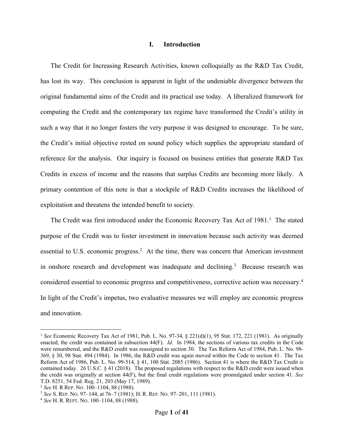#### **I. Introduction**

The Credit for Increasing Research Activities, known colloquially as the R&D Tax Credit, has lost its way. This conclusion is apparent in light of the undeniable divergence between the original fundamental aims of the Credit and its practical use today. A liberalized framework for computing the Credit and the contemporary tax regime have transformed the Credit's utility in such a way that it no longer fosters the very purpose it was designed to encourage. To be sure, the Credit's initial objective rested on sound policy which supplies the appropriate standard of reference for the analysis. Our inquiry is focused on business entities that generate R&D Tax Credits in excess of income and the reasons that surplus Credits are becoming more likely. A primary contention of this note is that a stockpile of R&D Credits increases the likelihood of exploitation and threatens the intended benefit to society.

The Credit was first introduced under the Economic Recovery Tax Act of 1981.<sup>1</sup> The stated purpose of the Credit was to foster investment in innovation because such activity was deemed essential to U.S. economic progress.<sup>2</sup> At the time, there was concern that American investment in onshore research and development was inadequate and declining.<sup>3</sup> Because research was considered essential to economic progress and competitiveness, corrective action was necessary.<sup>4</sup> In light of the Credit's impetus, two evaluative measures we will employ are economic progress and innovation.

<sup>1</sup> *See* Economic Recovery Tax Act of 1981, Pub. L. No. 97-34, § 221(d)(1), 95 Stat. 172, 221 (1981). As originally enacted, the credit was contained in subsection 44(F). *Id.* In 1984, the sections of various tax credits in the Code were renumbered, and the R&D credit was reassigned to section 30. The Tax Reform Act of 1984, Pub. L. No. 98- 369, § 30, 98 Stat. 494 (1984). In 1986, the R&D credit was again moved within the Code to section 41. The Tax Reform Act of 1986, Pub. L. No. 99-514, § 41, 100 Stat. 2085 (1986). Section 41 is where the R&D Tax Credit is contained today. 26 U.S.C.  $\S$  41 (2018). The proposed regulations with respect to the R&D credit were issued when the credit was originally at section 44(F), but the final credit regulations were promulgated under section 41. *See* T.D. 8251, 54 Fed. Reg. 21, 203 (May 17, 1989).

<sup>2</sup> *See* H. R REP. NO. 100–1104, 88 (1988).

<sup>3</sup> *See* S. REP. NO. 97–144, at 76–7 (1981); H. R. REP. NO. 97–201, 111 (1981).

<sup>4</sup> *See* H. R. REPT. NO. 100–1104, 88 (1988).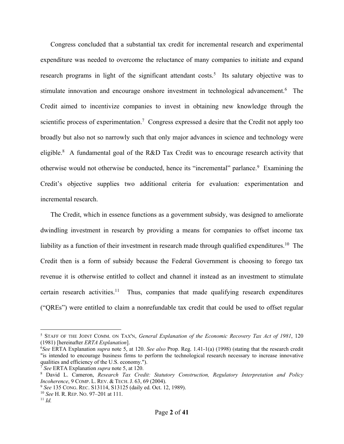Congress concluded that a substantial tax credit for incremental research and experimental expenditure was needed to overcome the reluctance of many companies to initiate and expand research programs in light of the significant attendant costs.<sup>5</sup> Its salutary objective was to stimulate innovation and encourage onshore investment in technological advancement.<sup>6</sup> The Credit aimed to incentivize companies to invest in obtaining new knowledge through the scientific process of experimentation.<sup>7</sup> Congress expressed a desire that the Credit not apply too broadly but also not so narrowly such that only major advances in science and technology were eligible.8 A fundamental goal of the R&D Tax Credit was to encourage research activity that otherwise would not otherwise be conducted, hence its "incremental" parlance.<sup>9</sup> Examining the Credit's objective supplies two additional criteria for evaluation: experimentation and incremental research.

The Credit, which in essence functions as a government subsidy, was designed to ameliorate dwindling investment in research by providing a means for companies to offset income tax liability as a function of their investment in research made through qualified expenditures.<sup>10</sup> The Credit then is a form of subsidy because the Federal Government is choosing to forego tax revenue it is otherwise entitled to collect and channel it instead as an investment to stimulate certain research activities.<sup>11</sup> Thus, companies that made qualifying research expenditures ("QREs") were entitled to claim a nonrefundable tax credit that could be used to offset regular

<sup>5</sup> STAFF OF THE JOINT COMM. ON TAX'N, *General Explanation of the Economic Recovery Tax Act of 1981*, 120 (1981) [hereinafter *ERTA Explanation*].

<sup>6</sup> *See* ERTA Explanation *supra* note 5, at 120. *See also* Prop. Reg. 1.41-1(a) (1998) (stating that the research credit "is intended to encourage business firms to perform the technological research necessary to increase innovative qualities and efficiency of the U.S. economy.").

<sup>7</sup> *See* ERTA Explanation *supra* note 5, at 120.

<sup>8</sup> David L. Cameron, *Research Tax Credit: Statutory Construction, Regulatory Interpretation and Policy Incoherence*, 9 COMP. L. REV. & TECH. J. 63, 69 (2004).<br><sup>9</sup> *See* 135 CONG. REC. S13114, S13125 (daily ed. Oct. 12, 1989).

<sup>10</sup> *See* H. R. REP. NO. 97–201 at 111. 11 *Id.*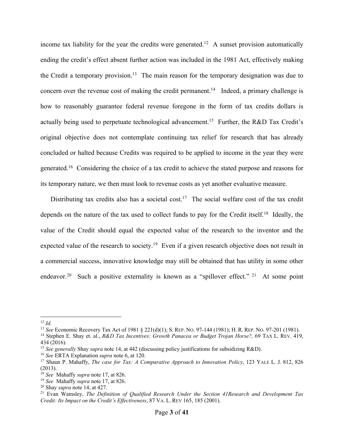income tax liability for the year the credits were generated.<sup>12</sup> A sunset provision automatically ending the credit's effect absent further action was included in the 1981 Act, effectively making the Credit a temporary provision.<sup>13</sup> The main reason for the temporary designation was due to concern over the revenue cost of making the credit permanent.<sup>14</sup> Indeed, a primary challenge is how to reasonably guarantee federal revenue foregone in the form of tax credits dollars is actually being used to perpetuate technological advancement.<sup>15</sup> Further, the R&D Tax Credit's original objective does not contemplate continuing tax relief for research that has already concluded or halted because Credits was required to be applied to income in the year they were generated.16 Considering the choice of a tax credit to achieve the stated purpose and reasons for its temporary nature, we then must look to revenue costs as yet another evaluative measure.

Distributing tax credits also has a societal cost.<sup>17</sup> The social welfare cost of the tax credit depends on the nature of the tax used to collect funds to pay for the Credit itself.<sup>18</sup> Ideally, the value of the Credit should equal the expected value of the research to the inventor and the expected value of the research to society.<sup>19</sup> Even if a given research objective does not result in a commercial success, innovative knowledge may still be obtained that has utility in some other endeavor.<sup>20</sup> Such a positive externality is known as a "spillover effect." <sup>21</sup> At some point

<sup>12</sup> *Id.*

<sup>13</sup> *See* Economic Recovery Tax Act of 1981 § 221(d)(1); S. REP. NO. 97-144 (1981); H. R. REP. NO. 97-201 (1981).

<sup>14</sup> Stephen E. Shay et. al., *R&D Tax Incentives: Growth Panacea or Budget Trojan Horse?,* 69 TAX L. REV. 419, 434 (2016).

<sup>15</sup> *See generally* Shay *supra* note 14, at 442 (discussing policy justifications for subsidizing R&D).

<sup>16</sup> *See* ERTA Explanation *supra* note 6, at 120.

<sup>17</sup> Shaun P. Mahaffy, *The case for Tax: A Comparative Approach to Innovation Policy*, 123 YALE L. J. 812, 826 (2013).

<sup>18</sup> *See* Mahaffy *supra* note 17, at 826.

<sup>19</sup> *See* Mahaffy *supra* note 17, at 826.

<sup>20</sup> Shay *supra* note 14, at 427.

<sup>21</sup> Evan Wamsley, *The Definition of Qualified Research Under the Section 41Research and Development Tax Credit: Its Impact on the Credit's Effectiveness*, 87 VA. L. REV 165, 185 (2001).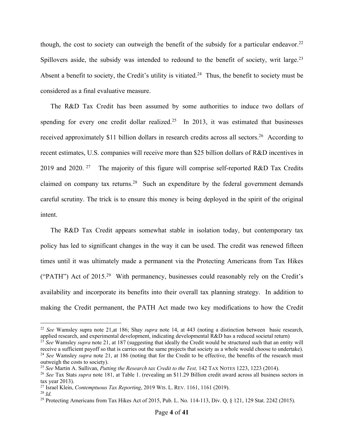though, the cost to society can outweigh the benefit of the subsidy for a particular endeavor.<sup>22</sup> Spillovers aside, the subsidy was intended to redound to the benefit of society, writ large.<sup>23</sup> Absent a benefit to society, the Credit's utility is vitiated.<sup>24</sup> Thus, the benefit to society must be considered as a final evaluative measure.

The R&D Tax Credit has been assumed by some authorities to induce two dollars of spending for every one credit dollar realized.<sup>25</sup> In 2013, it was estimated that businesses received approximately \$11 billion dollars in research credits across all sectors.<sup>26</sup> According to recent estimates, U.S. companies will receive more than \$25 billion dollars of R&D incentives in 2019 and 2020. <sup>27</sup> The majority of this figure will comprise self-reported R&D Tax Credits claimed on company tax returns.28 Such an expenditure by the federal government demands careful scrutiny. The trick is to ensure this money is being deployed in the spirit of the original intent.

The R&D Tax Credit appears somewhat stable in isolation today, but contemporary tax policy has led to significant changes in the way it can be used. The credit was renewed fifteen times until it was ultimately made a permanent via the Protecting Americans from Tax Hikes ("PATH") Act of  $2015<sup>29</sup>$  With permanency, businesses could reasonably rely on the Credit's availability and incorporate its benefits into their overall tax planning strategy. In addition to making the Credit permanent, the PATH Act made two key modifications to how the Credit

<sup>22</sup> *See* Wamsley supra note 21,at 186; Shay *supra* note 14, at 443 (noting a distinction between basic research, applied research, and experimental development, indicating developmental R&D has a reduced societal return)

<sup>&</sup>lt;sup>23</sup> See Wamsley *supra* note 21, at 187 (suggesting that ideally the Credit would be structured such that an entity will receive a sufficient payoff so that is carries out the same projects that society as a whole would choose to undertake). <sup>24</sup> See Wamsley *supra* note 21, at 186 (noting that for the Credit to be effective, the benefits of the research must outweigh the costs to society).

<sup>25</sup> *See* Martin A. Sullivan, *Putting the Research tax Credit to the Test,* 142 TAX NOTES 1223, 1223 (2014).

<sup>26</sup> *See* Tax Stats *supra* note 181, at Table 1. (revealing an \$11.29 Billion credit award across all business sectors in tax year 2013).

<sup>27</sup> Israel Klein, *Contemptuous Tax Reporting*, 2019 WIS. L. REV. 1161, 1161 (2019).

<sup>28</sup> *Id.*

<sup>&</sup>lt;sup>29</sup> Protecting Americans from Tax Hikes Act of 2015, Pub. L. No. 114-113, Div. Q, § 121, 129 Stat. 2242 (2015).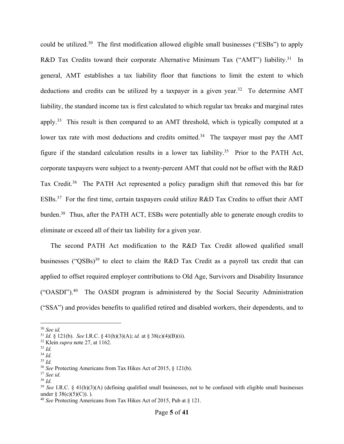could be utilized.30 The first modification allowed eligible small businesses ("ESBs") to apply R&D Tax Credits toward their corporate Alternative Minimum Tax ("AMT") liability.<sup>31</sup> In general, AMT establishes a tax liability floor that functions to limit the extent to which deductions and credits can be utilized by a taxpayer in a given year.<sup>32</sup> To determine AMT liability, the standard income tax is first calculated to which regular tax breaks and marginal rates apply.33 This result is then compared to an AMT threshold, which is typically computed at a lower tax rate with most deductions and credits omitted.<sup>34</sup> The taxpayer must pay the AMT figure if the standard calculation results in a lower tax liability.<sup>35</sup> Prior to the PATH Act, corporate taxpayers were subject to a twenty-percent AMT that could not be offset with the R&D Tax Credit.<sup>36</sup> The PATH Act represented a policy paradigm shift that removed this bar for ESBs.<sup>37</sup> For the first time, certain taxpayers could utilize R&D Tax Credits to offset their AMT burden.38 Thus, after the PATH ACT, ESBs were potentially able to generate enough credits to eliminate or exceed all of their tax liability for a given year.

The second PATH Act modification to the R&D Tax Credit allowed qualified small businesses ("QSBs)<sup>39</sup> to elect to claim the R&D Tax Credit as a payroll tax credit that can applied to offset required employer contributions to Old Age, Survivors and Disability Insurance ("OASDI").40 The OASDI program is administered by the Social Security Administration ("SSA") and provides benefits to qualified retired and disabled workers, their dependents, and to

<sup>30</sup> *See id.*

<sup>31</sup> *Id.* § 121(b). *See* I.R.C. § 41(h)(3)(A); *id.* at § 38(c)(4)(B)(ii).

<sup>32</sup> Klein *supra* note 27, at 1162.

<sup>33</sup> *Id.*

<sup>34</sup> *Id.*

<sup>35</sup> *Id.*

<sup>36</sup> *See* Protecting Americans from Tax Hikes Act of 2015, § 121(b).

<sup>37</sup> *See id.*

<sup>38</sup> *Id.*

<sup>39</sup> *See* I.R.C. § 41(h)(3)(A) (defining qualified small businesses, not to be confused with eligible small businesses under § 38(c)(5)(C)). ).<br><sup>40</sup> *See* Protecting Americans from Tax Hikes Act of 2015, Pub at § 121.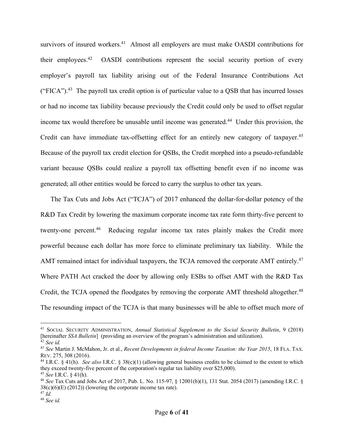survivors of insured workers.<sup>41</sup> Almost all employers are must make OASDI contributions for their employees.42 OASDI contributions represent the social security portion of every employer's payroll tax liability arising out of the Federal Insurance Contributions Act ("FICA").<sup>43</sup> The payroll tax credit option is of particular value to a QSB that has incurred losses or had no income tax liability because previously the Credit could only be used to offset regular income tax would therefore be unusable until income was generated.<sup>44</sup> Under this provision, the Credit can have immediate tax-offsetting effect for an entirely new category of taxpayer.<sup>45</sup> Because of the payroll tax credit election for QSBs, the Credit morphed into a pseudo-refundable variant because QSBs could realize a payroll tax offsetting benefit even if no income was generated; all other entities would be forced to carry the surplus to other tax years.

The Tax Cuts and Jobs Act ("TCJA") of 2017 enhanced the dollar-for-dollar potency of the R&D Tax Credit by lowering the maximum corporate income tax rate form thirty-five percent to twenty-one percent.<sup>46</sup> Reducing regular income tax rates plainly makes the Credit more powerful because each dollar has more force to eliminate preliminary tax liability. While the AMT remained intact for individual taxpayers, the TCJA removed the corporate AMT entirely.<sup>47</sup> Where PATH Act cracked the door by allowing only ESBs to offset AMT with the R&D Tax Credit, the TCJA opened the floodgates by removing the corporate AMT threshold altogether.<sup>48</sup> The resounding impact of the TCJA is that many businesses will be able to offset much more of

<sup>41</sup> SOCIAL SECURITY ADMINISTRATION, *Annual Statistical Supplement to the Social Security Bulletin*, 9 (2018) [hereinafter *SSA Bulletin*] (providing an overview of the program's administration and utilization). <sup>42</sup> *See id.*

<sup>43</sup> *See* Martin J. McMahon, Jr. et al., *Recent Developments in federal Income Taxation: the Year 2015*, 18 FLA. TAX. REV. 275, 308 (2016).

<sup>44</sup> I.R.C. § 41(h). *See also* I.R.C. § 38(c)(1) (allowing general business credits to be claimed to the extent to which they exceed twenty-five percent of the corporation's regular tax liability over \$25,000).

<sup>45</sup> *See* I.R.C. § 41(h). 46 *See* Tax Cuts and Jobs Act of 2017, Pub. L. No. 115-97, § 12001(b)(1), 131 Stat. 2054 (2017) (amending I.R.C. §  $38(c)(6)(E) (2012)$  (lowering the corporate income tax rate).

<sup>47</sup> *Id.*

<sup>48</sup> *See id.*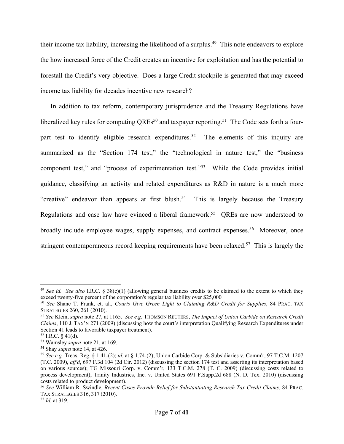their income tax liability, increasing the likelihood of a surplus.<sup>49</sup> This note endeavors to explore the how increased force of the Credit creates an incentive for exploitation and has the potential to forestall the Credit's very objective. Does a large Credit stockpile is generated that may exceed income tax liability for decades incentive new research?

In addition to tax reform, contemporary jurisprudence and the Treasury Regulations have liberalized key rules for computing QREs<sup>50</sup> and taxpayer reporting.<sup>51</sup> The Code sets forth a fourpart test to identify eligible research expenditures.<sup>52</sup> The elements of this inquiry are summarized as the "Section 174 test," the "technological in nature test," the "business component test," and "process of experimentation test."53 While the Code provides initial guidance, classifying an activity and related expenditures as R&D in nature is a much more "creative" endeavor than appears at first blush.<sup>54</sup> This is largely because the Treasury Regulations and case law have evinced a liberal framework.<sup>55</sup> QREs are now understood to broadly include employee wages, supply expenses, and contract expenses.<sup>56</sup> Moreover, once stringent contemporaneous record keeping requirements have been relaxed.<sup>57</sup> This is largely the

<sup>49</sup> *See id. See also* I.R.C. § 38(c)(1) (allowing general business credits to be claimed to the extent to which they exceed twenty-five percent of the corporation's regular tax liability over \$25,000

<sup>50</sup> *See* Shane T. Frank, et. al., *Courts Give Green Light to Claiming R&D Credit for Supplies*, 84 PRAC. TAX STRATEGIES 260, 261 (2010).

<sup>51</sup> *See* Klein, *supra* note 27, at 1165. *See e.g.* THOMSON REUTERS, *The Impact of Union Carbide on Research Credit Claims*, 110 J. TAX'N 271 (2009) (discussing how the court's interpretation Qualifying Research Expenditures under Section 41 leads to favorable taxpayer treatment).<br><sup>52</sup> I.R.C. § 41(d).

<sup>&</sup>lt;sup>53</sup> Wamsley *supra* note 21, at 169.

<sup>54</sup> Shay *supra* note 14, at 426.

<sup>55</sup> *See e.g.* Treas. Reg. § 1.41-(2); *id.* at § 1.74-(2); Union Carbide Corp. & Subsidiaries v. Comm'r, 97 T.C.M. 1207 (T.C. 2009), *aff'd*, 697 F.3d 104 (2d Cir. 2012) (discussing the section 174 test and asserting its interpretation based on various sources); TG Missouri Corp. v. Comm'r, 133 T.C.M. 278 (T. C. 2009) (discussing costs related to process development); Trinity Industries, Inc. v. United States 691 F.Supp.2d 688 (N. D. Tex. 2010) (discussing costs related to product development).

<sup>56</sup> *See* William R. Swindle, *Recent Cases Provide Relief for Substantiating Research Tax Credit Claims*, 84 PRAC. TAX STRATEGIES 316, 317 (2010).

<sup>57</sup> *Id.* at 319.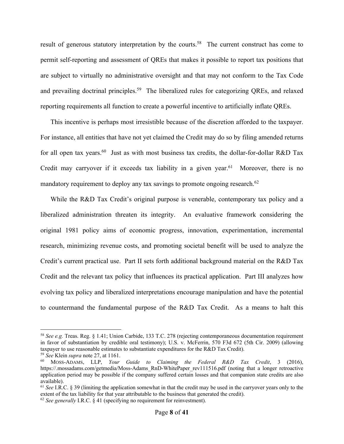result of generous statutory interpretation by the courts.<sup>58</sup> The current construct has come to permit self-reporting and assessment of QREs that makes it possible to report tax positions that are subject to virtually no administrative oversight and that may not conform to the Tax Code and prevailing doctrinal principles.<sup>59</sup> The liberalized rules for categorizing QREs, and relaxed reporting requirements all function to create a powerful incentive to artificially inflate QREs.

This incentive is perhaps most irresistible because of the discretion afforded to the taxpayer. For instance, all entities that have not yet claimed the Credit may do so by filing amended returns for all open tax years.<sup>60</sup> Just as with most business tax credits, the dollar-for-dollar R&D Tax Credit may carryover if it exceeds tax liability in a given year.<sup>61</sup> Moreover, there is no mandatory requirement to deploy any tax savings to promote ongoing research.<sup>62</sup>

While the R&D Tax Credit's original purpose is venerable, contemporary tax policy and a liberalized administration threaten its integrity. An evaluative framework considering the original 1981 policy aims of economic progress, innovation, experimentation, incremental research, minimizing revenue costs, and promoting societal benefit will be used to analyze the Credit's current practical use. Part II sets forth additional background material on the R&D Tax Credit and the relevant tax policy that influences its practical application. Part III analyzes how evolving tax policy and liberalized interpretations encourage manipulation and have the potential to countermand the fundamental purpose of the R&D Tax Credit. As a means to halt this

<sup>58</sup> *See e.g.* Treas. Reg. § 1.41; Union Carbide, 133 T.C. 278 (rejecting contemporaneous documentation requirement in favor of substantiation by credible oral testimony); U.S. v. McFerrin, 570 F3d 672 (5th Cir. 2009) (allowing taxpayer to use reasonable estimates to substantiate expenditures for the R&D Tax Credit).

<sup>59</sup> *See* Klein *supra* note 27, at 1161.

<sup>60</sup> MOSS-ADAMS, LLP, *Your Guide to Claiming the Federal R&D Tax Credit*, 3 (2016), https://.mossadams.com/getmedia/Moss-Adams\_RnD-WhitePaper\_rev111516.pdf (noting that a longer retroactive application period may be possible if the company suffered certain losses and that companion state credits are also available).

<sup>61</sup> *See* I.R.C. § 39 (limiting the application somewhat in that the credit may be used in the carryover years only to the extent of the tax liability for that year attributable to the business that generated the credit).

<sup>62</sup> *See generally* I.R.C. § 41 (specifying no requirement for reinvestment).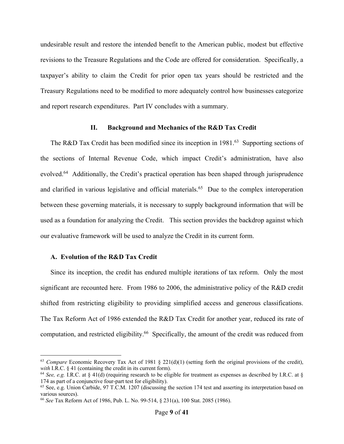undesirable result and restore the intended benefit to the American public, modest but effective revisions to the Treasure Regulations and the Code are offered for consideration. Specifically, a taxpayer's ability to claim the Credit for prior open tax years should be restricted and the Treasury Regulations need to be modified to more adequately control how businesses categorize and report research expenditures. Part IV concludes with a summary.

#### **II. Background and Mechanics of the R&D Tax Credit**

The R&D Tax Credit has been modified since its inception in 1981.<sup>63</sup> Supporting sections of the sections of Internal Revenue Code, which impact Credit's administration, have also evolved.<sup>64</sup> Additionally, the Credit's practical operation has been shaped through jurisprudence and clarified in various legislative and official materials.<sup>65</sup> Due to the complex interoperation between these governing materials, it is necessary to supply background information that will be used as a foundation for analyzing the Credit. This section provides the backdrop against which our evaluative framework will be used to analyze the Credit in its current form.

## **A. Evolution of the R&D Tax Credit**

Since its inception, the credit has endured multiple iterations of tax reform. Only the most significant are recounted here. From 1986 to 2006, the administrative policy of the R&D credit shifted from restricting eligibility to providing simplified access and generous classifications. The Tax Reform Act of 1986 extended the R&D Tax Credit for another year, reduced its rate of computation, and restricted eligibility. 66 Specifically, the amount of the credit was reduced from

<sup>&</sup>lt;sup>63</sup> *Compare* Economic Recovery Tax Act of 1981 § 221(d)(1) (setting forth the original provisions of the credit), with I.R.C. § 41 (containing the credit in its current form).

<sup>&</sup>lt;sup>64</sup> *See, e.g.* I.R.C. at § 41(d) (requiring research to be eligible for treatment as expenses as described by I.R.C. at § 174 as part of a conjunctive four-part test for eligibility).<br><sup>65</sup> See, e.g. Union Carbide, 97 T.C.M. 1207 (discussing the section 174 test and asserting its interpretation based on

various sources).

<sup>66</sup> *See* Tax Reform Act of 1986, Pub. L. No. 99-514, § 231(a), 100 Stat. 2085 (1986).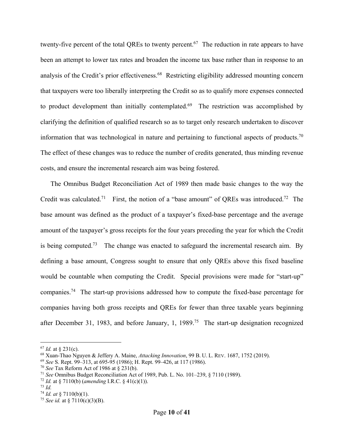twenty-five percent of the total QREs to twenty percent.<sup>67</sup> The reduction in rate appears to have been an attempt to lower tax rates and broaden the income tax base rather than in response to an analysis of the Credit's prior effectiveness.<sup>68</sup> Restricting eligibility addressed mounting concern that taxpayers were too liberally interpreting the Credit so as to qualify more expenses connected to product development than initially contemplated.<sup>69</sup> The restriction was accomplished by clarifying the definition of qualified research so as to target only research undertaken to discover information that was technological in nature and pertaining to functional aspects of products.<sup>70</sup> The effect of these changes was to reduce the number of credits generated, thus minding revenue costs, and ensure the incremental research aim was being fostered.

The Omnibus Budget Reconciliation Act of 1989 then made basic changes to the way the Credit was calculated.<sup>71</sup> First, the notion of a "base amount" of QREs was introduced.<sup>72</sup> The base amount was defined as the product of a taxpayer's fixed-base percentage and the average amount of the taxpayer's gross receipts for the four years preceding the year for which the Credit is being computed.<sup>73</sup> The change was enacted to safeguard the incremental research aim. By defining a base amount, Congress sought to ensure that only QREs above this fixed baseline would be countable when computing the Credit. Special provisions were made for "start-up" companies.74 The start-up provisions addressed how to compute the fixed-base percentage for companies having both gross receipts and QREs for fewer than three taxable years beginning after December 31, 1983, and before January, 1, 1989.75 The start-up designation recognized

<sup>67</sup> *Id.* at § 231(c).

<sup>68</sup> Xuan-Thao Nguyen & Jeffery A. Maine, *Attacking Innovation*, 99 B. U. L. REV. 1687, 1752 (2019). 69 *See* S. Rept. 99–313, at 695-95 (1986); H. Rept. 99–426, at 117 (1986).

<sup>70</sup> *See* Tax Reform Act of 1986 at § 231(b).

<sup>71</sup> *See* Omnibus Budget Reconciliation Act of 1989, Pub. L. No. 101–239, § 7110 (1989).

<sup>72</sup> *Id.* at § 7110(b) (*amending* I.R.C. § 41(c)(1)).

<sup>73</sup> *Id.*

<sup>74</sup> *Id. at* § 7110(b)(1).

<sup>75</sup> *See id.* at § 7110(c)(3)(B).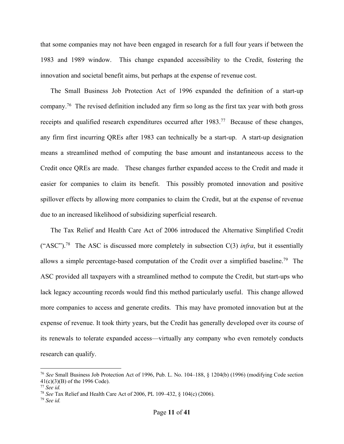that some companies may not have been engaged in research for a full four years if between the 1983 and 1989 window. This change expanded accessibility to the Credit, fostering the innovation and societal benefit aims, but perhaps at the expense of revenue cost.

The Small Business Job Protection Act of 1996 expanded the definition of a start-up company.76 The revised definition included any firm so long as the first tax year with both gross receipts and qualified research expenditures occurred after 1983.<sup>77</sup> Because of these changes, any firm first incurring QREs after 1983 can technically be a start-up. A start-up designation means a streamlined method of computing the base amount and instantaneous access to the Credit once QREs are made. These changes further expanded access to the Credit and made it easier for companies to claim its benefit. This possibly promoted innovation and positive spillover effects by allowing more companies to claim the Credit, but at the expense of revenue due to an increased likelihood of subsidizing superficial research.

The Tax Relief and Health Care Act of 2006 introduced the Alternative Simplified Credit ("ASC").<sup>78</sup> The ASC is discussed more completely in subsection C(3) *infra*, but it essentially allows a simple percentage-based computation of the Credit over a simplified baseline.79 The ASC provided all taxpayers with a streamlined method to compute the Credit, but start-ups who lack legacy accounting records would find this method particularly useful. This change allowed more companies to access and generate credits. This may have promoted innovation but at the expense of revenue. It took thirty years, but the Credit has generally developed over its course of its renewals to tolerate expanded access—virtually any company who even remotely conducts research can qualify.

<sup>76</sup> *See* Small Business Job Protection Act of 1996, Pub. L. No. 104–188, § 1204(b) (1996) (modifying Code section 41(c)(3)(B) of the 1996 Code).

<sup>77</sup> *See id.*

<sup>78</sup> *See* Tax Relief and Health Care Act of 2006, PL 109–432, § 104(c) (2006). 79 *See id.*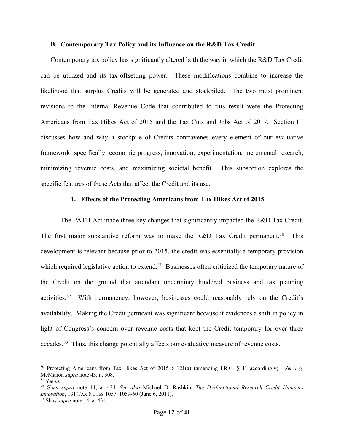## **B. Contemporary Tax Policy and its Influence on the R&D Tax Credit**

Contemporary tax policy has significantly altered both the way in which the R&D Tax Credit can be utilized and its tax-offsetting power. These modifications combine to increase the likelihood that surplus Credits will be generated and stockpiled. The two most prominent revisions to the Internal Revenue Code that contributed to this result were the Protecting Americans from Tax Hikes Act of 2015 and the Tax Cuts and Jobs Act of 2017. Section III discusses how and why a stockpile of Credits contravenes every element of our evaluative framework; specifically, economic progress, innovation, experimentation, incremental research, minimizing revenue costs, and maximizing societal benefit. This subsection explores the specific features of these Acts that affect the Credit and its use.

#### **1. Effects of the Protecting Americans from Tax Hikes Act of 2015**

The PATH Act made three key changes that significantly impacted the R&D Tax Credit. The first major substantive reform was to make the R&D Tax Credit permanent.<sup>80</sup> This development is relevant because prior to 2015, the credit was essentially a temporary provision which required legislative action to extend.<sup>81</sup> Businesses often criticized the temporary nature of the Credit on the ground that attendant uncertainty hindered business and tax planning activities.82 With permanency, however, businesses could reasonably rely on the Credit's availability. Making the Credit permeant was significant because it evidences a shift in policy in light of Congress's concern over revenue costs that kept the Credit temporary for over three decades.<sup>83</sup> Thus, this change potentially affects our evaluative measure of revenue costs.

<sup>80</sup> Protecting Americans from Tax Hikes Act of 2015 § 121(a) (amending I.R.C. § 41 accordingly). *See e.g.* McMahon *supra* note 43, at 308.

<sup>81</sup> *See id.*

<sup>82</sup> Shay *supra* note 14, at 434. *See also* Michael D. Rashkin, *The Dysfunctional Research Credit Hampers Innovation*, 131 TAX NOTES 1057, 1059-60 (June 6, 2011).

<sup>83</sup> Shay *supra* note 14, at 434.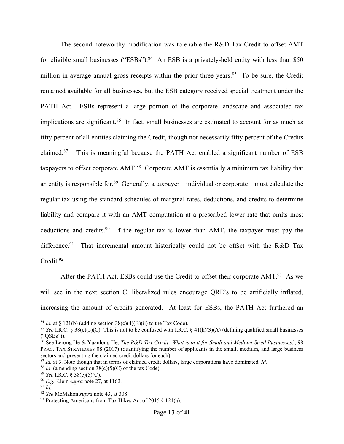The second noteworthy modification was to enable the R&D Tax Credit to offset AMT for eligible small businesses ("ESBs").<sup>84</sup> An ESB is a privately-held entity with less than \$50 million in average annual gross receipts within the prior three years.<sup>85</sup> To be sure, the Credit remained available for all businesses, but the ESB category received special treatment under the PATH Act. ESBs represent a large portion of the corporate landscape and associated tax implications are significant.<sup>86</sup> In fact, small businesses are estimated to account for as much as fifty percent of all entities claiming the Credit, though not necessarily fifty percent of the Credits claimed. This is meaningful because the PATH Act enabled a significant number of ESB taxpayers to offset corporate AMT.<sup>88</sup> Corporate AMT is essentially a minimum tax liability that an entity is responsible for.<sup>89</sup> Generally, a taxpayer—individual or corporate—must calculate the regular tax using the standard schedules of marginal rates, deductions, and credits to determine liability and compare it with an AMT computation at a prescribed lower rate that omits most deductions and credits.<sup>90</sup> If the regular tax is lower than AMT, the taxpayer must pay the difference.<sup>91</sup> That incremental amount historically could not be offset with the R&D Tax Credit.<sup>92</sup>

After the PATH Act, ESBs could use the Credit to offset their corporate AMT.<sup>93</sup> As we will see in the next section C, liberalized rules encourage QRE's to be artificially inflated, increasing the amount of credits generated. At least for ESBs, the PATH Act furthered an

<sup>&</sup>lt;sup>84</sup> *Id.* at § 121(b) (adding section 38(c)(4)(B)(ii) to the Tax Code).<br><sup>85</sup> *See* I.R.C. § 38(c)(5)(C). This is not to be confused with I.R.C. § 41(h)(3)(A) (defining qualified small businesses ("QSBs")).

<sup>86</sup> See Lerong He & Yuanlong He, *The R&D Tax Credit: What is in it for Small and Medium-Sized Businesses?*, 98 PRAC. TAX STRATEGIES 08 (2017) (quantifying the number of applicants in the small, medium, and large business sectors and presenting the claimed credit dollars for each).

<sup>87</sup> *Id.* at 3. Note though that in terms of claimed credit dollars, large corporations have dominated. *Id.* 

<sup>&</sup>lt;sup>88</sup> *Id.* (amending section  $38(c)(5)(C)$  of the tax Code).

<sup>89</sup> *See* I.R.C. § 38(c)(5)(C).

<sup>90</sup> *E.g.* Klein *supra* note 27, at 1162.

 $91$  *Id.* 

<sup>92</sup> *See* McMahon *supra* note 43, at 308.

<sup>93</sup> Protecting Americans from Tax Hikes Act of 2015 § 121(a).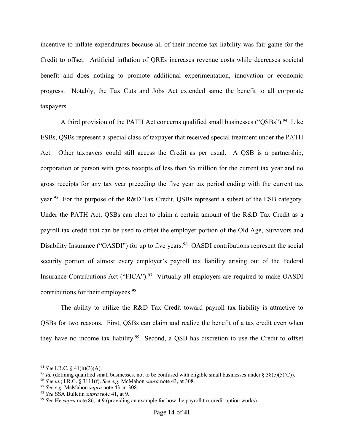incentive to inflate expenditures because all of their income tax liability was fair game for the Credit to offset. Artificial inflation of QREs increases revenue costs while decreases societal benefit and does nothing to promote additional experimentation, innovation or economic progress. Notably, the Tax Cuts and Jobs Act extended same the benefit to all corporate taxpayers.

A third provision of the PATH Act concerns qualified small businesses ("QSBs").<sup>94</sup> Like ESBs, QSBs represent a special class of taxpayer that received special treatment under the PATH Act. Other taxpayers could still access the Credit as per usual. A QSB is a partnership, corporation or person with gross receipts of less than \$5 million for the current tax year and no gross receipts for any tax year preceding the five year tax period ending with the current tax year.<sup>95</sup> For the purpose of the R&D Tax Credit, QSBs represent a subset of the ESB category. Under the PATH Act, QSBs can elect to claim a certain amount of the R&D Tax Credit as a payroll tax credit that can be used to offset the employer portion of the Old Age, Survivors and Disability Insurance ("OASDI") for up to five years.<sup>96</sup> OASDI contributions represent the social security portion of almost every employer's payroll tax liability arising out of the Federal Insurance Contributions Act ("FICA").<sup>97</sup> Virtually all employers are required to make OASDI contributions for their employees.<sup>98</sup>

The ability to utilize the R&D Tax Credit toward payroll tax liability is attractive to QSBs for two reasons. First, QSBs can claim and realize the benefit of a tax credit even when they have no income tax liability.99 Second, a QSB has discretion to use the Credit to offset

<sup>94</sup> *See* I.R.C. § 41(h)(3)(A).

<sup>&</sup>lt;sup>95</sup> *Id.* (defining qualified small businesses, not to be confused with eligible small businesses under § 38(c)(5)(C)).

<sup>96</sup> *See id.*; I.R.C. § 3111(f). *See e.g.* McMahon *supra* note 43, at 308.

<sup>97</sup> *See e.g.* McMahon *supra* note 43, at 308.

<sup>&</sup>lt;sup>99</sup> *See* He *supra* note 86, at 9 (providing an example for how the payroll tax credit option works).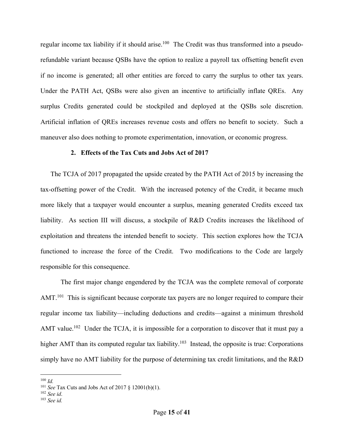regular income tax liability if it should arise.<sup>100</sup> The Credit was thus transformed into a pseudorefundable variant because QSBs have the option to realize a payroll tax offsetting benefit even if no income is generated; all other entities are forced to carry the surplus to other tax years. Under the PATH Act, QSBs were also given an incentive to artificially inflate QREs. Any surplus Credits generated could be stockpiled and deployed at the QSBs sole discretion. Artificial inflation of QREs increases revenue costs and offers no benefit to society. Such a maneuver also does nothing to promote experimentation, innovation, or economic progress.

## **2. Effects of the Tax Cuts and Jobs Act of 2017**

The TCJA of 2017 propagated the upside created by the PATH Act of 2015 by increasing the tax-offsetting power of the Credit. With the increased potency of the Credit, it became much more likely that a taxpayer would encounter a surplus, meaning generated Credits exceed tax liability. As section III will discuss, a stockpile of R&D Credits increases the likelihood of exploitation and threatens the intended benefit to society. This section explores how the TCJA functioned to increase the force of the Credit. Two modifications to the Code are largely responsible for this consequence.

The first major change engendered by the TCJA was the complete removal of corporate AMT.<sup>101</sup> This is significant because corporate tax payers are no longer required to compare their regular income tax liability—including deductions and credits—against a minimum threshold AMT value.<sup>102</sup> Under the TCJA, it is impossible for a corporation to discover that it must pay a higher AMT than its computed regular tax liability.<sup>103</sup> Instead, the opposite is true: Corporations simply have no AMT liability for the purpose of determining tax credit limitations, and the R&D

<sup>100</sup> *Id.*

<sup>101</sup> *See* Tax Cuts and Jobs Act of 2017 § 12001(b)(1). 102 *See id*.

<sup>103</sup> *See id.*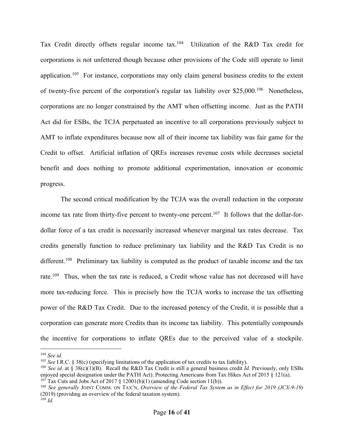Tax Credit directly offsets regular income tax.<sup>104</sup> Utilization of the R&D Tax credit for corporations is not unfettered though because other provisions of the Code still operate to limit application.<sup>105</sup> For instance, corporations may only claim general business credits to the extent of twenty-five percent of the corporation's regular tax liability over \$25,000.106 Nonetheless, corporations are no longer constrained by the AMT when offsetting income. Just as the PATH Act did for ESBs, the TCJA perpetuated an incentive to all corporations previously subject to AMT to inflate expenditures because now all of their income tax liability was fair game for the Credit to offset. Artificial inflation of QREs increases revenue costs while decreases societal benefit and does nothing to promote additional experimentation, innovation or economic progress.

The second critical modification by the TCJA was the overall reduction in the corporate income tax rate from thirty-five percent to twenty-one percent.<sup>107</sup> It follows that the dollar-fordollar force of a tax credit is necessarily increased whenever marginal tax rates decrease. Tax credits generally function to reduce preliminary tax liability and the R&D Tax Credit is no different.<sup>108</sup> Preliminary tax liability is computed as the product of taxable income and the tax rate.<sup>109</sup> Thus, when the tax rate is reduced, a Credit whose value has not decreased will have more tax-reducing force. This is precisely how the TCJA works to increase the tax offsetting power of the R&D Tax Credit. Due to the increased potency of the Credit, it is possible that a corporation can generate more Credits than its income tax liability. This potentially compounds the incentive for corporations to inflate QREs due to the perceived value of a stockpile.

<sup>104</sup> *See id.*

<sup>105</sup> *See* I.R.C. § 38(c) (specifying limitations of the application of tax credits to tax liability).

<sup>&</sup>lt;sup>106</sup> *See id.* at § 38(c)(1)(B). Recall the R&D Tax Credit is still a general business credit *Id.* Previously, only ESBs enjoyed special designation under the PATH Act). Protecting Americans from Tax Hikes Act of 2015 § 121(a).  $107$  Tax Cuts and Jobs Act of 2017 § 12001(b)(1) (amending Code section 11(b)).

<sup>108</sup> *See generally* JOINT COMM. ON TAX'N, *Overview of the Federal Tax System as in Effect for 2019 (JCX-9-19)* (2019) (providing an overview of the federal taxation system). <sup>109</sup> *Id.*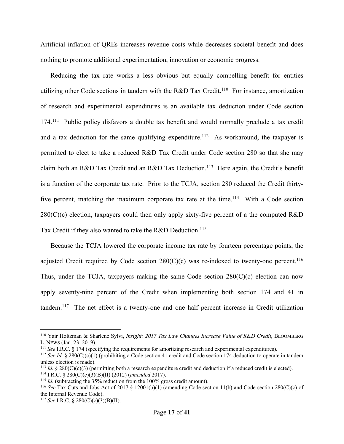Artificial inflation of QREs increases revenue costs while decreases societal benefit and does nothing to promote additional experimentation, innovation or economic progress.

Reducing the tax rate works a less obvious but equally compelling benefit for entities utilizing other Code sections in tandem with the R&D Tax Credit.<sup>110</sup> For instance, amortization of research and experimental expenditures is an available tax deduction under Code section 174.<sup>111</sup> Public policy disfavors a double tax benefit and would normally preclude a tax credit and a tax deduction for the same qualifying expenditure.<sup>112</sup> As workaround, the taxpayer is permitted to elect to take a reduced R&D Tax Credit under Code section 280 so that she may claim both an R&D Tax Credit and an R&D Tax Deduction.<sup>113</sup> Here again, the Credit's benefit is a function of the corporate tax rate. Prior to the TCJA, section 280 reduced the Credit thirtyfive percent, matching the maximum corporate tax rate at the time.<sup>114</sup> With a Code section  $280(C)(c)$  election, taxpayers could then only apply sixty-five percent of a the computed R&D Tax Credit if they also wanted to take the R&D Deduction. 115

Because the TCJA lowered the corporate income tax rate by fourteen percentage points, the adjusted Credit required by Code section  $280(C)(c)$  was re-indexed to twenty-one percent.<sup>116</sup> Thus, under the TCJA, taxpayers making the same Code section  $280(C)(c)$  election can now apply seventy-nine percent of the Credit when implementing both section 174 and 41 in tandem.<sup>117</sup> The net effect is a twenty-one and one half percent increase in Credit utilization

<sup>110</sup> Yair Holtzman & Sharlene Sylvi, *Insight: 2017 Tax Law Changes Increase Value of R&D Credit*, BLOOMBERG L. NEWS (Jan. 23, 2019).<br><sup>111</sup> *See* I.R.C. § 174 (specifying the requirements for amortizing research and experimental expenditures).

<sup>&</sup>lt;sup>112</sup> *See Id.* § 280(C)(c)(1) (prohibiting a Code section 41 credit and Code section 174 deduction to operate in tandem unless election is made).

<sup>&</sup>lt;sup>113</sup> *Id.* § 280(C)(c)(3) (permitting both a research expenditure credit and deduction if a reduced credit is elected).

<sup>114</sup> I.R.C. § 280(C)(c)(3)(B)(II) (2012) (*amended* 2017).

<sup>&</sup>lt;sup>115</sup> *Id.* (subtracting the 35% reduction from the 100% gross credit amount).

<sup>116</sup> *See* Tax Cuts and Jobs Act of 2017 § 12001(b)(1) (amending Code section 11(b) and Code section 280(C)(c) of the Internal Revenue Code).

<sup>117</sup> *See* I.R.C. § 280(C)(c)(3)(B)(II).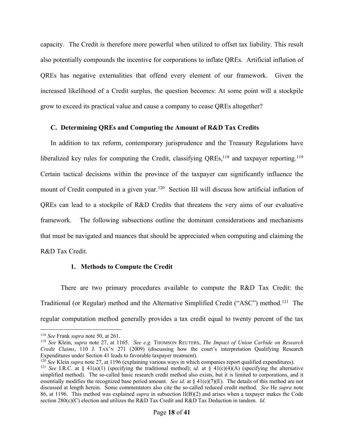capacity. The Credit is therefore more powerful when utilized to offset tax liability. This result also potentially compounds the incentive for corporations to inflate QREs. Artificial inflation of QREs has negative externalities that offend every element of our framework. Given the increased likelihood of a Credit surplus, the question becomes: At some point will a stockpile grow to exceed its practical value and cause a company to cease QREs altogether?

## **C. Determining QREs and Computing the Amount of R&D Tax Credits**

In addition to tax reform, contemporary jurisprudence and the Treasury Regulations have liberalized key rules for computing the Credit, classifying  $QREs$ ,<sup>118</sup> and taxpayer reporting.<sup>119</sup> Certain tactical decisions within the province of the taxpayer can significantly influence the mount of Credit computed in a given year.<sup>120</sup> Section III will discuss how artificial inflation of QREs can lead to a stockpile of R&D Credits that threatens the very aims of our evaluative framework. The following subsections outline the dominant considerations and mechanisms that must be navigated and nuances that should be appreciated when computing and claiming the R&D Tax Credit.

## **1. Methods to Compute the Credit**

There are two primary procedures available to compute the R&D Tax Credit: the Traditional (or Regular) method and the Alternative Simplified Credit ("ASC") method.121 The regular computation method generally provides a tax credit equal to twenty percent of the tax

<sup>120</sup> *See* Klein *supra* note 27, at 1196 (explaining various ways in which companies report qualified expenditures).

<sup>118</sup> *See* Frank *supra* note 50, at 261.

<sup>119</sup> *See* Klein, *supra* note 27, at 1165. *See e.g.* THOMSON REUTERS, *The Impact of Union Carbide on Research Credit Claims*, 110 J. TAX'N 271 (2009) (discussing how the court's interpretation Qualifying Research Expenditures under Section 41 leads to favorable taxpayer treatment).

<sup>&</sup>lt;sup>121</sup> *See* I.R.C. at § 41(a)(1) (specifying the traditional method); *id.* at § 41(c)(4)(A) (specifying the alternative simplified method). The so-called basic research credit method also exists, but it is limited to corporations, and it essentially modifies the recognized base period amount. *See id.* at § 41(e)(7)(E). The details of this method are not discussed at length herein. Some commentators also cite the so-called reduced credit method. *See* He *supra* note 86, at 1196. This method was explained *supra* in subsection II(B)(2) and arises when a taxpayer makes the Code section 280(c)(C) election and utilizes the R&D Tax Credit and R&D Tax Deduction in tandem. *Id.*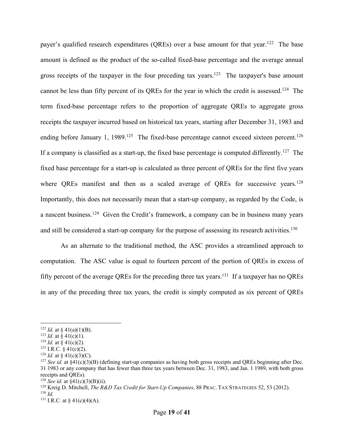payer's qualified research expenditures (QREs) over a base amount for that year.<sup>122</sup> The base amount is defined as the product of the so-called fixed-base percentage and the average annual gross receipts of the taxpayer in the four preceding tax years.<sup>123</sup> The taxpayer's base amount cannot be less than fifty percent of its QREs for the year in which the credit is assessed.<sup>124</sup> The term fixed-base percentage refers to the proportion of aggregate QREs to aggregate gross receipts the taxpayer incurred based on historical tax years, starting after December 31, 1983 and ending before January 1, 1989.<sup>125</sup> The fixed-base percentage cannot exceed sixteen percent.<sup>126</sup> If a company is classified as a start-up, the fixed base percentage is computed differently.<sup>127</sup> The fixed base percentage for a start-up is calculated as three percent of QREs for the first five years where QREs manifest and then as a scaled average of QREs for successive years.<sup>128</sup> Importantly, this does not necessarily mean that a start-up company, as regarded by the Code, is a nascent business.129 Given the Credit's framework, a company can be in business many years and still be considered a start-up company for the purpose of assessing its research activities.<sup>130</sup>

As an alternate to the traditional method, the ASC provides a streamlined approach to computation. The ASC value is equal to fourteen percent of the portion of QREs in excess of fifty percent of the average QREs for the preceding three tax years.<sup>131</sup> If a taxpayer has no QREs in any of the preceding three tax years, the credit is simply computed as six percent of QREs

<sup>&</sup>lt;sup>122</sup> *Id.* at § 41(a)(1)(B).

<sup>&</sup>lt;sup>123</sup> *Id.* at § 41(c)(1).

<sup>&</sup>lt;sup>124</sup> *Id.* at § 41(c)(2).

<sup>&</sup>lt;sup>125</sup> I.R.C. § 41(c)(2).<br><sup>126</sup> Id. at § 41(c)(3)(C).

<sup>&</sup>lt;sup>127</sup> *See id.* at §41(c)(3)(B) (defining start-up companies as having both gross receipts and OREs beginning after Dec. 31 1983 or any company that has fewer than three tax years between Dec. 31, 1983, and Jan. 1 1989, with both gross receipts and QREs).

<sup>&</sup>lt;sup>128</sup> *See id.* at  $\frac{$41(c)(3)(B)(ii)}{2}$ .

<sup>129</sup> Kreig D. Mitchell, *The R&D Tax Credit for Start-Up Companies*, 88 PRAC. TAX STRATEGIES 52, 53 (2012).

<sup>130</sup> *Id.*

<sup>131</sup> I.R.C*.* at § 41(c)(4)(A).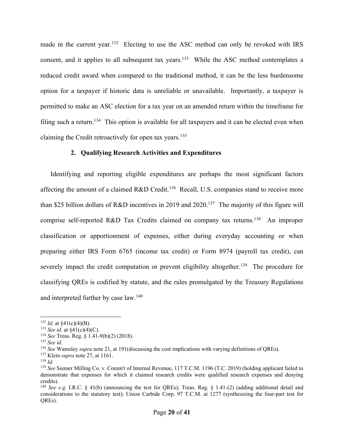made in the current year.<sup>132</sup> Electing to use the ASC method can only be revoked with IRS consent, and it applies to all subsequent tax years.<sup>133</sup> While the ASC method contemplates a reduced credit award when compared to the traditional method, it can be the less burdensome option for a taxpayer if historic data is unreliable or unavailable. Importantly, a taxpayer is permitted to make an ASC election for a tax year on an amended return within the timeframe for filing such a return.<sup>134</sup> This option is available for all taxpayers and it can be elected even when claiming the Credit retroactively for open tax years.135

## **2. Qualifying Research Activities and Expenditures**

Identifying and reporting eligible expenditures are perhaps the most significant factors affecting the amount of a claimed R&D Credit.<sup>136</sup> Recall, U.S. companies stand to receive more than \$25 billion dollars of R&D incentives in 2019 and 2020.137 The majority of this figure will comprise self-reported R&D Tax Credits claimed on company tax returns.<sup>138</sup> An improper classification or apportionment of expenses, either during everyday accounting or when preparing either IRS Form 6765 (income tax credit) or Form 8974 (payroll tax credit), can severely impact the credit computation or prevent eligibility altogether.<sup>139</sup> The procedure for classifying QREs is codified by statute, and the rules promulgated by the Treasury Regulations and interpreted further by case law.<sup>140</sup>

<sup>&</sup>lt;sup>132</sup> *Id.* at  $\frac{$41(c)(4)(B)}{2}$ .

<sup>133</sup> *See id.* at §41(c)(4)(C).

<sup>134</sup> *See* Treas. Reg. § 1.41-9(b)(2) (2018). 135 *See id.*

<sup>136</sup> *See* Wamsley *supra* note 21, at 191(discussing the cost implications with varying definitions of QREs).

<sup>137</sup> Klein *supra* note 27, at 1161.

<sup>138</sup> *Id.*

<sup>139</sup> *See* Siemer Milling Co. v. Comm'r of Internal Revenue, 117 T.C.M. 1196 (T.C. 2019) (holding applicant failed to demonstrate that expenses for which it claimed research credits were qualified research expenses and denying credits).

<sup>140</sup> *See e.g.* I.R.C. § 41(b) (announcing the test for QREs); Treas. Reg. § 1.41-(2) (adding additional detail and considerations to the statutory test); Union Carbide Corp. 97 T.C.M. at 1277 (synthesizing the four-part test for QREs).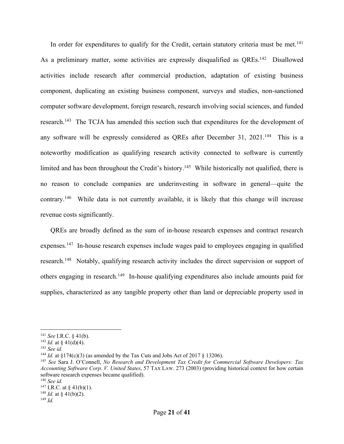In order for expenditures to qualify for the Credit, certain statutory criteria must be met.<sup>141</sup> As a preliminary matter, some activities are expressly disqualified as QREs.<sup>142</sup> Disallowed activities include research after commercial production, adaptation of existing business component, duplicating an existing business component, surveys and studies, non-sanctioned computer software development, foreign research, research involving social sciences, and funded research.143 The TCJA has amended this section such that expenditures for the development of any software will be expressly considered as QREs after December 31, 2021.<sup>144</sup> This is a noteworthy modification as qualifying research activity connected to software is currently limited and has been throughout the Credit's history.<sup>145</sup> While historically not qualified, there is no reason to conclude companies are underinvesting in software in general—quite the contrary.146 While data is not currently available, it is likely that this change will increase revenue costs significantly.

QREs are broadly defined as the sum of in-house research expenses and contract research expenses.<sup>147</sup> In-house research expenses include wages paid to employees engaging in qualified research.<sup>148</sup> Notably, qualifying research activity includes the direct supervision or support of others engaging in research.149 In-house qualifying expenditures also include amounts paid for supplies, characterized as any tangible property other than land or depreciable property used in

<sup>141</sup> *See* I.R.C. § 41(b).

<sup>&</sup>lt;sup>142</sup> *Id.* at § 41(d)(4).

<sup>143</sup> *See id.*

<sup>&</sup>lt;sup>144</sup> *Id.* at  $\delta$ 174(c)(3) (as amended by the Tax Cuts and Jobs Act of 2017  $\delta$  13206).

<sup>145</sup> *See* Sara J. O'Connell, *No Research and Development Tax Credit for Commercial Software Developers: Tax Accounting Software Corp. V. United States*, 57 TAX LAW. 273 (2003) (providing historical context for how certain software research expenses became qualified).

<sup>146</sup> *See id.*  $147$  I.R.C. at § 41(b)(1).

<sup>&</sup>lt;sup>148</sup> *Id.* at § 41(b)(2).

<sup>149</sup> *Id.*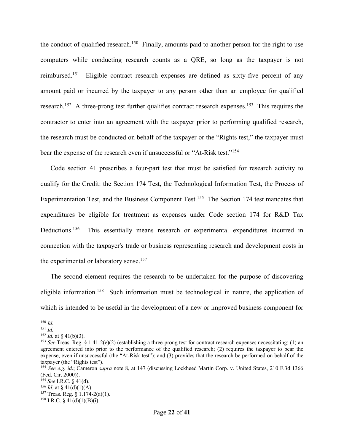the conduct of qualified research.<sup>150</sup> Finally, amounts paid to another person for the right to use computers while conducting research counts as a QRE, so long as the taxpayer is not reimbursed.<sup>151</sup> Eligible contract research expenses are defined as sixty-five percent of any amount paid or incurred by the taxpayer to any person other than an employee for qualified research.<sup>152</sup> A three-prong test further qualifies contract research expenses.<sup>153</sup> This requires the contractor to enter into an agreement with the taxpayer prior to performing qualified research, the research must be conducted on behalf of the taxpayer or the "Rights test," the taxpayer must bear the expense of the research even if unsuccessful or "At-Risk test."<sup>154</sup>

Code section 41 prescribes a four-part test that must be satisfied for research activity to qualify for the Credit: the Section 174 Test, the Technological Information Test, the Process of Experimentation Test, and the Business Component Test.<sup>155</sup> The Section 174 test mandates that expenditures be eligible for treatment as expenses under Code section 174 for R&D Tax Deductions.<sup>156</sup> This essentially means research or experimental expenditures incurred in connection with the taxpayer's trade or business representing research and development costs in the experimental or laboratory sense.<sup>157</sup>

The second element requires the research to be undertaken for the purpose of discovering eligible information.<sup>158</sup> Such information must be technological in nature, the application of which is intended to be useful in the development of a new or improved business component for

<sup>150</sup> *Id.*

<sup>151</sup> *Id.*

 $152$  *Id.* at § 41(b)(3).

<sup>153</sup> *See* Treas. Reg. § 1.41-2(e)(2) (establishing a three-prong test for contract research expenses necessitating: (1) an agreement entered into prior to the performance of the qualified research; (2) requires the taxpayer to bear the expense, even if unsuccessful (the "At-Risk test"); and (3) provides that the research be performed on behalf of the taxpayer (the "Rights test").

<sup>154</sup> *See e.g. id*.; Cameron *supra* note 8, at 147 (discussing Lockheed Martin Corp. v. United States, 210 F.3d 1366 (Fed. Cir. 2000)).

<sup>155</sup> *See* I.R.C. § 41(d).

<sup>&</sup>lt;sup>156</sup> *Id.* at § 41(d)(1)(A).

<sup>157</sup> Treas. Reg. § 1.174-2(a)(1).

<sup>&</sup>lt;sup>158</sup> I.R.C. § 41(d)(1)(B)(i).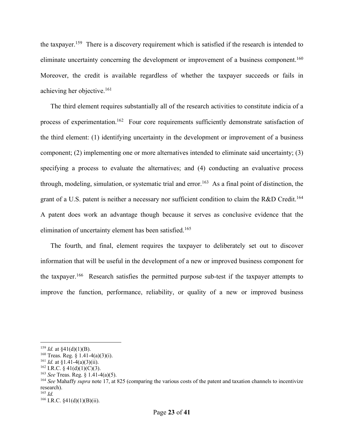the taxpayer.159 There is a discovery requirement which is satisfied if the research is intended to eliminate uncertainty concerning the development or improvement of a business component.<sup>160</sup> Moreover, the credit is available regardless of whether the taxpayer succeeds or fails in achieving her objective.161

The third element requires substantially all of the research activities to constitute indicia of a process of experimentation.<sup>162</sup> Four core requirements sufficiently demonstrate satisfaction of the third element: (1) identifying uncertainty in the development or improvement of a business component; (2) implementing one or more alternatives intended to eliminate said uncertainty; (3) specifying a process to evaluate the alternatives; and (4) conducting an evaluative process through, modeling, simulation, or systematic trial and error. 163 As a final point of distinction, the grant of a U.S. patent is neither a necessary nor sufficient condition to claim the R&D Credit.<sup>164</sup> A patent does work an advantage though because it serves as conclusive evidence that the elimination of uncertainty element has been satisfied.<sup>165</sup>

The fourth, and final, element requires the taxpayer to deliberately set out to discover information that will be useful in the development of a new or improved business component for the taxpayer.<sup>166</sup> Research satisfies the permitted purpose sub-test if the taxpayer attempts to improve the function, performance, reliability, or quality of a new or improved business

<sup>&</sup>lt;sup>159</sup> *Id.* at  $\frac{159}{41}$ (d)(1)(B).

<sup>&</sup>lt;sup>160</sup> Treas. Reg. § 1.41-4(a)(3)(i).

 $161$  *Id.* at §1.41-4(a)(3)(ii).

 $162$  I.R.C. § 41(d)(1)(C)(3).

<sup>163</sup> *See* Treas. Reg. § 1.41-4(a)(5).

<sup>164</sup> *See* Mahaffy *supra* note 17, at 825 (comparing the various costs of the patent and taxation channels to incentivize research).

<sup>165</sup> *Id.*

<sup>166</sup> I.R.C. §41(d)(1)(B)(ii).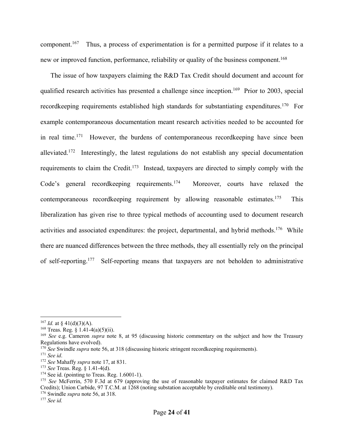component.167 Thus, a process of experimentation is for a permitted purpose if it relates to a new or improved function, performance, reliability or quality of the business component.<sup>168</sup>

The issue of how taxpayers claiming the R&D Tax Credit should document and account for qualified research activities has presented a challenge since inception.<sup>169</sup> Prior to 2003, special recordkeeping requirements established high standards for substantiating expenditures.<sup>170</sup> For example contemporaneous documentation meant research activities needed to be accounted for in real time.<sup>171</sup> However, the burdens of contemporaneous record keeping have since been alleviated.<sup>172</sup> Interestingly, the latest regulations do not establish any special documentation requirements to claim the Credit.<sup>173</sup> Instead, taxpayers are directed to simply comply with the Code's general recordkeeping requirements.<sup>174</sup> Moreover, courts have relaxed the contemporaneous record keeping requirement by allowing reasonable estimates.<sup>175</sup> This liberalization has given rise to three typical methods of accounting used to document research activities and associated expenditures: the project, departmental, and hybrid methods.<sup>176</sup> While there are nuanced differences between the three methods, they all essentially rely on the principal of self-reporting.177 Self-reporting means that taxpayers are not beholden to administrative

<sup>&</sup>lt;sup>167</sup> *Id.* at § 41(d)(3)(A).

<sup>&</sup>lt;sup>168</sup> Treas. Reg. § 1.41-4(a)(5)(ii).

<sup>169</sup> *See* e.g. Cameron *supra* note 8, at 95 (discussing historic commentary on the subject and how the Treasury Regulations have evolved).

<sup>&</sup>lt;sup>170</sup> *See* Swindle *supra* note 56, at 318 (discussing historic stringent recordkeeping requirements).

<sup>171</sup> *See id*.

<sup>172</sup> *See* Mahaffy *supra* note 17, at 831.

<sup>173</sup> *See* Treas. Reg. § 1.41-4(d).

<sup>174</sup> See id. (pointing to Treas. Reg. 1.6001-1).

<sup>&</sup>lt;sup>175</sup> *See* McFerrin, 570 F.3d at 679 (approving the use of reasonable taxpayer estimates for claimed R&D Tax Credits); Union Carbide, 97 T.C.M. at 1268 (noting substation acceptable by creditable oral testimony).

<sup>176</sup> Swindle *supra* note 56, at 318.

<sup>177</sup> *See id.*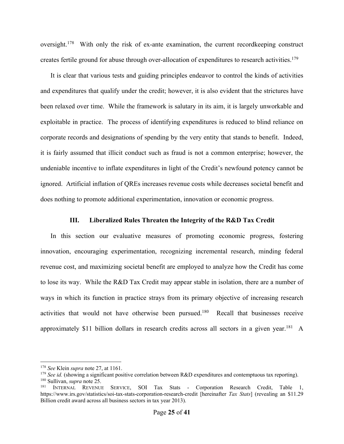oversight.<sup>178</sup> With only the risk of ex-ante examination, the current recordkeeping construct creates fertile ground for abuse through over-allocation of expenditures to research activities.<sup>179</sup>

It is clear that various tests and guiding principles endeavor to control the kinds of activities and expenditures that qualify under the credit; however, it is also evident that the strictures have been relaxed over time. While the framework is salutary in its aim, it is largely unworkable and exploitable in practice. The process of identifying expenditures is reduced to blind reliance on corporate records and designations of spending by the very entity that stands to benefit. Indeed, it is fairly assumed that illicit conduct such as fraud is not a common enterprise; however, the undeniable incentive to inflate expenditures in light of the Credit's newfound potency cannot be ignored. Artificial inflation of QREs increases revenue costs while decreases societal benefit and does nothing to promote additional experimentation, innovation or economic progress.

## **III. Liberalized Rules Threaten the Integrity of the R&D Tax Credit**

In this section our evaluative measures of promoting economic progress, fostering innovation, encouraging experimentation, recognizing incremental research, minding federal revenue cost, and maximizing societal benefit are employed to analyze how the Credit has come to lose its way. While the R&D Tax Credit may appear stable in isolation, there are a number of ways in which its function in practice strays from its primary objective of increasing research activities that would not have otherwise been pursued.180 Recall that businesses receive approximately \$11 billion dollars in research credits across all sectors in a given year.<sup>181</sup> A

<sup>178</sup> *See* Klein *supra* note 27, at 1161.

<sup>179</sup> *See id.* (showing a significant positive correlation between R&D expenditures and contemptuous tax reporting). 180 Sullivan, *supra* note 25.

<sup>&</sup>lt;sup>181</sup> INTERNAL REVENUE SERVICE, SOI Tax Stats - Corporation Research Credit, Table 1, https://www.irs.gov/statistics/soi-tax-stats-corporation-research-credit [hereinafter *Tax Stats*] (revealing an \$11.29 Billion credit award across all business sectors in tax year 2013).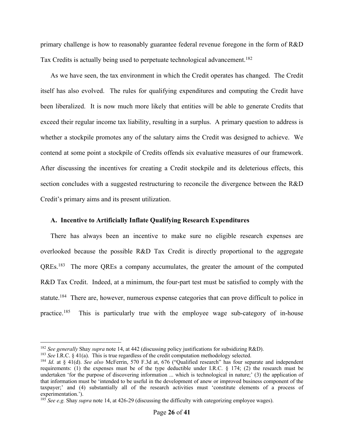primary challenge is how to reasonably guarantee federal revenue foregone in the form of R&D Tax Credits is actually being used to perpetuate technological advancement.<sup>182</sup>

As we have seen, the tax environment in which the Credit operates has changed. The Credit itself has also evolved. The rules for qualifying expenditures and computing the Credit have been liberalized. It is now much more likely that entities will be able to generate Credits that exceed their regular income tax liability, resulting in a surplus. A primary question to address is whether a stockpile promotes any of the salutary aims the Credit was designed to achieve. We contend at some point a stockpile of Credits offends six evaluative measures of our framework. After discussing the incentives for creating a Credit stockpile and its deleterious effects, this section concludes with a suggested restructuring to reconcile the divergence between the R&D Credit's primary aims and its present utilization.

## **A. Incentive to Artificially Inflate Qualifying Research Expenditures**

There has always been an incentive to make sure no eligible research expenses are overlooked because the possible R&D Tax Credit is directly proportional to the aggregate QREs.<sup>183</sup> The more QREs a company accumulates, the greater the amount of the computed R&D Tax Credit. Indeed, at a minimum, the four-part test must be satisfied to comply with the statute.184 There are, however, numerous expense categories that can prove difficult to police in practice.185 This is particularly true with the employee wage sub-category of in-house

<sup>182</sup> *See generally* Shay *supra* note 14, at 442 (discussing policy justifications for subsidizing R&D).

<sup>&</sup>lt;sup>183</sup> *See* I.R.C. § 41(a). This is true regardless of the credit computation methodology selected.

<sup>184</sup> *Id*. at § 41(d). *See also* McFerrin, 570 F.3d at, 676 ("Qualified research" has four separate and independent requirements: (1) the expenses must be of the type deductible under I.R.C.  $\frac{1}{2}$  and research must be undertaken 'for the purpose of discovering information ... which is technological in nature;' (3) the application of that information must be 'intended to be useful in the development of anew or improved business component of the taxpayer;' and (4) substantially all of the research activities must 'constitute elements of a process of experimentation.').

<sup>&</sup>lt;sup>185</sup> *See e.g.* Shay *supra* note 14, at 426-29 (discussing the difficulty with categorizing employee wages).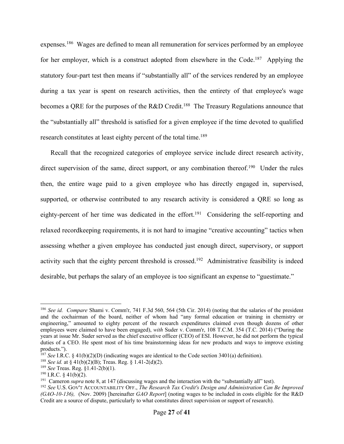expenses.186 Wages are defined to mean all remuneration for services performed by an employee for her employer, which is a construct adopted from elsewhere in the Code.<sup>187</sup> Applying the statutory four-part test then means if "substantially all" of the services rendered by an employee during a tax year is spent on research activities, then the entirety of that employee's wage becomes a QRE for the purposes of the R&D Credit.<sup>188</sup> The Treasury Regulations announce that the "substantially all" threshold is satisfied for a given employee if the time devoted to qualified research constitutes at least eighty percent of the total time.<sup>189</sup>

Recall that the recognized categories of employee service include direct research activity, direct supervision of the same, direct support, or any combination thereof.<sup>190</sup> Under the rules then, the entire wage paid to a given employee who has directly engaged in, supervised, supported, or otherwise contributed to any research activity is considered a QRE so long as eighty-percent of her time was dedicated in the effort.<sup>191</sup> Considering the self-reporting and relaxed recordkeeping requirements, it is not hard to imagine "creative accounting" tactics when assessing whether a given employee has conducted just enough direct, supervisory, or support activity such that the eighty percent threshold is crossed.<sup>192</sup> Administrative feasibility is indeed desirable, but perhaps the salary of an employee is too significant an expense to "guestimate."

<sup>186</sup> *See id. Compare* Shami v. Comm'r, 741 F.3d 560, 564 (5th Cir. 2014) (noting that the salaries of the president and the cochairman of the board, neither of whom had "any formal education or training in chemistry or engineering," amounted to eighty percent of the research expenditures claimed even though dozens of other employees were claimed to have been engaged), *with* Suder v. Comm'r, 108 T.C.M. 354 (T.C. 2014) ("During the years at issue Mr. Suder served as the chief executive officer (CEO) of ESI. However, he did not perform the typical duties of a CEO. He spent most of his time brainstorming ideas for new products and ways to improve existing products.").

<sup>&</sup>lt;sup>187</sup> *See* I.R.C. § 41(b)(2)(D) (indicating wages are identical to the Code section 3401(a) definition).

<sup>188</sup> *See id.* at § 41(b)(2)(B); Treas. Reg. § 1.41-2(d)(2). 189 *See* Treas. Reg. §1.41-2(b)(1).

 $190$  I.R.C. § 41(b)(2).

<sup>&</sup>lt;sup>191</sup> Cameron *supra* note 8, at 147 (discussing wages and the interaction with the "substantially all" test).

<sup>192</sup> *See* U.S. GOV'T ACCOUNTABILITY OFF., *The Research Tax Credit's Design and Administration Can Be Improved (GAO-10-136),* (Nov. 2009) [hereinafter *GAO Report*] (noting wages to be included in costs eligible for the R&D Credit are a source of dispute, particularly to what constitutes direct supervision or support of research).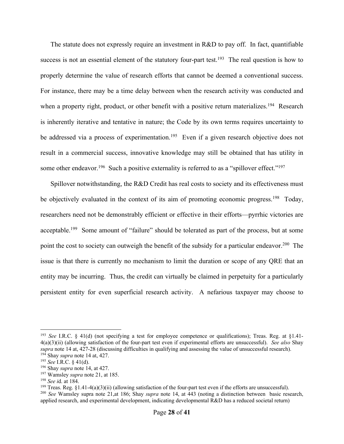The statute does not expressly require an investment in R&D to pay off. In fact, quantifiable success is not an essential element of the statutory four-part test.<sup>193</sup> The real question is how to properly determine the value of research efforts that cannot be deemed a conventional success. For instance, there may be a time delay between when the research activity was conducted and when a property right, product, or other benefit with a positive return materializes.<sup>194</sup> Research is inherently iterative and tentative in nature; the Code by its own terms requires uncertainty to be addressed via a process of experimentation.<sup>195</sup> Even if a given research objective does not result in a commercial success, innovative knowledge may still be obtained that has utility in some other endeavor.<sup>196</sup> Such a positive externality is referred to as a "spillover effect."<sup>197</sup>

Spillover notwithstanding, the R&D Credit has real costs to society and its effectiveness must be objectively evaluated in the context of its aim of promoting economic progress.<sup>198</sup> Today, researchers need not be demonstrably efficient or effective in their efforts—pyrrhic victories are acceptable.<sup>199</sup> Some amount of "failure" should be tolerated as part of the process, but at some point the cost to society can outweigh the benefit of the subsidy for a particular endeavor.<sup>200</sup> The issue is that there is currently no mechanism to limit the duration or scope of any QRE that an entity may be incurring. Thus, the credit can virtually be claimed in perpetuity for a particularly persistent entity for even superficial research activity. A nefarious taxpayer may choose to

<sup>&</sup>lt;sup>193</sup> *See* I.R.C. § 41(d) (not specifying a test for employee competence or qualifications); Treas. Reg. at §1.41-4(a)(3)(ii) (allowing satisfaction of the four-part test even if experimental efforts are unsuccessful). *See also* Shay *supra* note 14 at, 427-28 (discussing difficulties in qualifying and assessing the value of unsuccessful research). <sup>194</sup> Shay *supra* note 14 at, 427. 195 *See* I.R.C. § 41(d).

<sup>196</sup> Shay *supra* note 14, at 427.

<sup>197</sup> Wamsley *supra* note 21, at 185.

<sup>&</sup>lt;sup>198</sup> *See i*d. at 184.<br><sup>199</sup> Treas. Reg. §1.41-4(a)(3)(ii) (allowing satisfaction of the four-part test even if the efforts are unsuccessful).

<sup>200</sup> *See* Wamsley supra note 21,at 186; Shay *supra* note 14, at 443 (noting a distinction between basic research, applied research, and experimental development, indicating developmental R&D has a reduced societal return)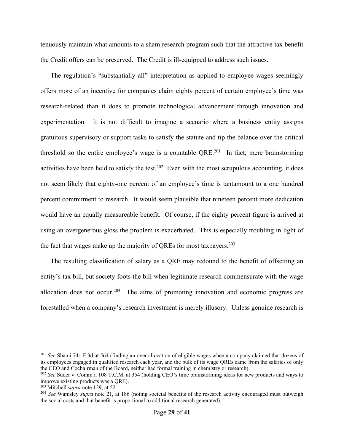tenuously maintain what amounts to a sham research program such that the attractive tax benefit the Credit offers can be preserved. The Credit is ill-equipped to address such issues.

The regulation's "substantially all" interpretation as applied to employee wages seemingly offers more of an incentive for companies claim eighty percent of certain employee's time was research-related than it does to promote technological advancement through innovation and experimentation. It is not difficult to imagine a scenario where a business entity assigns gratuitous supervisory or support tasks to satisfy the statute and tip the balance over the critical threshold so the entire employee's wage is a countable  $QRE<sup>201</sup>$  In fact, mere brainstorming activities have been held to satisfy the test.<sup>202</sup> Even with the most scrupulous accounting, it does not seem likely that eighty-one percent of an employee's time is tantamount to a one hundred percent commitment to research. It would seem plausible that nineteen percent more dedication would have an equally measureable benefit. Of course, if the eighty percent figure is arrived at using an overgenerous gloss the problem is exacerbated. This is especially troubling in light of the fact that wages make up the majority of QREs for most taxpayers.<sup>203</sup>

The resulting classification of salary as a QRE may redound to the benefit of offsetting an entity's tax bill, but society foots the bill when legitimate research commensurate with the wage allocation does not occur.<sup>204</sup> The aims of promoting innovation and economic progress are forestalled when a company's research investment is merely illusory. Unless genuine research is

<sup>201</sup> *See* Shami 741 F.3d at 564 (finding an over allocation of eligible wages when a company claimed that dozens of its employees engaged in qualified research each year, and the bulk of its wage QREs came from the salaries of only the CEO and Cochairman of the Board, neither had formal training in chemistry or research).

<sup>202</sup> *See* Suder v. Comm'r, 108 T.C.M. at 354 (holding CEO's time brainstorming ideas for new products and ways to improve existing products was a QRE).

<sup>203</sup> Mitchell *supra* note 129, at 52.

<sup>&</sup>lt;sup>204</sup> See Wamsley *supra* note 21, at 186 (noting societal benefits of the research activity encouraged must outweigh the social costs and that benefit is proportional to additional research generated).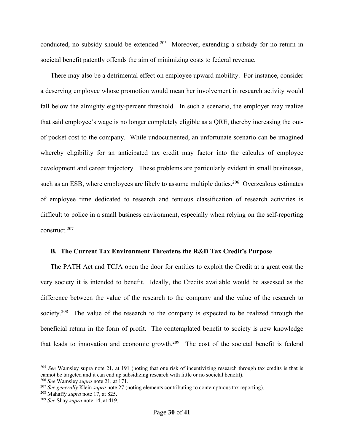conducted, no subsidy should be extended.<sup>205</sup> Moreover, extending a subsidy for no return in societal benefit patently offends the aim of minimizing costs to federal revenue.

There may also be a detrimental effect on employee upward mobility. For instance, consider a deserving employee whose promotion would mean her involvement in research activity would fall below the almighty eighty-percent threshold. In such a scenario, the employer may realize that said employee's wage is no longer completely eligible as a QRE, thereby increasing the outof-pocket cost to the company. While undocumented, an unfortunate scenario can be imagined whereby eligibility for an anticipated tax credit may factor into the calculus of employee development and career trajectory. These problems are particularly evident in small businesses, such as an ESB, where employees are likely to assume multiple duties.<sup>206</sup> Overzealous estimates of employee time dedicated to research and tenuous classification of research activities is difficult to police in a small business environment, especially when relying on the self-reporting construct.207

## **B. The Current Tax Environment Threatens the R&D Tax Credit's Purpose**

The PATH Act and TCJA open the door for entities to exploit the Credit at a great cost the very society it is intended to benefit. Ideally, the Credits available would be assessed as the difference between the value of the research to the company and the value of the research to society.<sup>208</sup> The value of the research to the company is expected to be realized through the beneficial return in the form of profit. The contemplated benefit to society is new knowledge that leads to innovation and economic growth.209 The cost of the societal benefit is federal

<sup>&</sup>lt;sup>205</sup> *See* Wamsley supra note 21, at 191 (noting that one risk of incentivizing research through tax credits is that is cannot be targeted and it can end up subsidizing research with little or no societal benefit).

<sup>206</sup> *See* Wamsley *supra* note 21, at 171.

<sup>207</sup> *See generally* Klein *supra* note 27 (noting elements contributing to contemptuous tax reporting).

<sup>208</sup> Mahaffy *supra* note 17, at 825.

<sup>209</sup> *See* Shay *supra* note 14, at 419.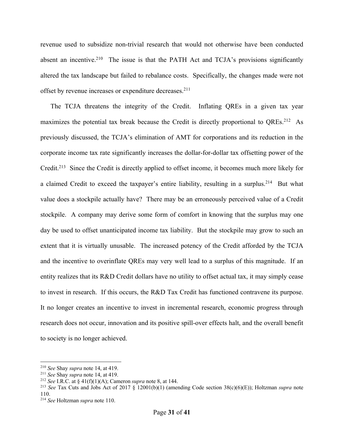revenue used to subsidize non-trivial research that would not otherwise have been conducted absent an incentive.<sup>210</sup> The issue is that the PATH Act and TCJA's provisions significantly altered the tax landscape but failed to rebalance costs. Specifically, the changes made were not offset by revenue increases or expenditure decreases.<sup>211</sup>

The TCJA threatens the integrity of the Credit. Inflating QREs in a given tax year maximizes the potential tax break because the Credit is directly proportional to QREs.<sup>212</sup> As previously discussed, the TCJA's elimination of AMT for corporations and its reduction in the corporate income tax rate significantly increases the dollar-for-dollar tax offsetting power of the Credit.213 Since the Credit is directly applied to offset income, it becomes much more likely for a claimed Credit to exceed the taxpayer's entire liability, resulting in a surplus.<sup>214</sup> But what value does a stockpile actually have? There may be an erroneously perceived value of a Credit stockpile. A company may derive some form of comfort in knowing that the surplus may one day be used to offset unanticipated income tax liability. But the stockpile may grow to such an extent that it is virtually unusable. The increased potency of the Credit afforded by the TCJA and the incentive to overinflate QREs may very well lead to a surplus of this magnitude. If an entity realizes that its R&D Credit dollars have no utility to offset actual tax, it may simply cease to invest in research. If this occurs, the R&D Tax Credit has functioned contravene its purpose. It no longer creates an incentive to invest in incremental research, economic progress through research does not occur, innovation and its positive spill-over effects halt, and the overall benefit to society is no longer achieved.

<sup>210</sup> *See* Shay *supra* note 14, at 419.

<sup>211</sup> *See* Shay *supra* note 14, at 419.

<sup>212</sup> *See* I.R.C. at § 41(f)(1)(A); Cameron *supra* note 8, at 144.

<sup>213</sup> *See* Tax Cuts and Jobs Act of 2017 § 12001(b)(1) (amending Code section 38(c)(6)(E)); Holtzman *supra* note 110.

<sup>214</sup> *See* Holtzman *supra* note 110.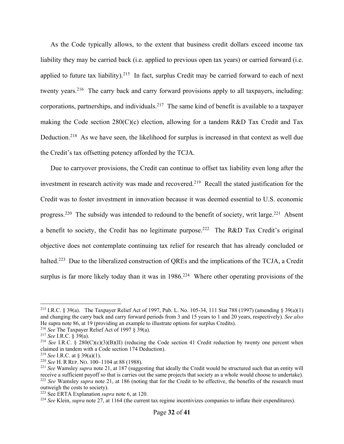As the Code typically allows, to the extent that business credit dollars exceed income tax liability they may be carried back (i.e. applied to previous open tax years) or carried forward (i.e. applied to future tax liability).<sup>215</sup> In fact, surplus Credit may be carried forward to each of next twenty years.<sup>216</sup> The carry back and carry forward provisions apply to all taxpayers, including: corporations, partnerships, and individuals.217 The same kind of benefit is available to a taxpayer making the Code section  $280(C)(c)$  election, allowing for a tandem R&D Tax Credit and Tax Deduction.<sup>218</sup> As we have seen, the likelihood for surplus is increased in that context as well due the Credit's tax offsetting potency afforded by the TCJA.

Due to carryover provisions, the Credit can continue to offset tax liability even long after the investment in research activity was made and recovered. 219 Recall the stated justification for the Credit was to foster investment in innovation because it was deemed essential to U.S. economic progress.<sup>220</sup> The subsidy was intended to redound to the benefit of society, writ large.<sup>221</sup> Absent a benefit to society, the Credit has no legitimate purpose.<sup>222</sup> The R&D Tax Credit's original objective does not contemplate continuing tax relief for research that has already concluded or halted.<sup>223</sup> Due to the liberalized construction of QREs and the implications of the TCJA, a Credit surplus is far more likely today than it was in 1986.<sup>224</sup> Where other operating provisions of the

<sup>&</sup>lt;sup>215</sup> I.R.C. § 39(a). The Taxpayer Relief Act of 1997, Pub. L. No. 105-34, 111 Stat 788 (1997) (amending § 39(a)(1) and changing the carry back and carry forward periods from 3 and 15 years to 1 and 20 years, respectively). *See also* He supra note 86, at 19 (providing an example to illustrate options for surplus Credits).

<sup>216</sup> *See* The Taxpayer Relief Act of 1997 § 39(a).

<sup>217</sup> *See* I.R.C. § 39(a).

<sup>218</sup> *See* I.R.C. § 280(C)(c)(3)(B)(II) (reducing the Code section 41 Credit reduction by twenty one percent when claimed in tandem with a Code section 174 Deduction).

<sup>219</sup> *See* I.R.C. at § 39(a)(1).

<sup>220</sup> *See* H. R REP. NO. 100–1104 at 88 (1988).

<sup>&</sup>lt;sup>221</sup> *See* Wamsley *supra* note 21, at 187 (suggesting that ideally the Credit would be structured such that an entity will receive a sufficient payoff so that is carries out the same projects that society as a whole would choose to undertake). <sup>222</sup> See Wamsley *supra* note 21, at 186 (noting that for the Credit to be effective, the benefits of the research must outweigh the costs to society).

<sup>223</sup> See ERTA Explanation *supra* note 6, at 120.

<sup>224</sup> *See* Klein, *supra* note 27, at 1164 (the current tax regime incentivizes companies to inflate their expenditures).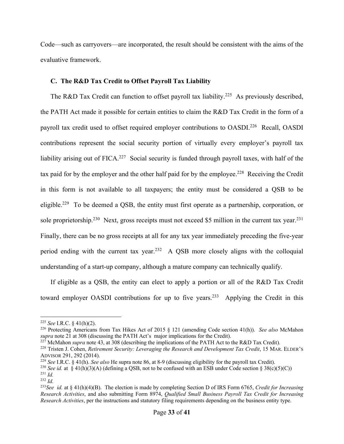Code—such as carryovers—are incorporated, the result should be consistent with the aims of the evaluative framework.

## **C. The R&D Tax Credit to Offset Payroll Tax Liability**

The R&D Tax Credit can function to offset payroll tax liability.<sup>225</sup> As previously described, the PATH Act made it possible for certain entities to claim the R&D Tax Credit in the form of a payroll tax credit used to offset required employer contributions to OASDI.<sup>226</sup> Recall, OASDI contributions represent the social security portion of virtually every employer's payroll tax liability arising out of FICA.<sup>227</sup> Social security is funded through payroll taxes, with half of the tax paid for by the employer and the other half paid for by the employee.<sup>228</sup> Receiving the Credit in this form is not available to all taxpayers; the entity must be considered a QSB to be eligible.<sup>229</sup> To be deemed a QSB, the entity must first operate as a partnership, corporation, or sole proprietorship.<sup>230</sup> Next, gross receipts must not exceed \$5 million in the current tax year.<sup>231</sup> Finally, there can be no gross receipts at all for any tax year immediately preceding the five-year period ending with the current tax year.<sup>232</sup> A QSB more closely aligns with the colloquial understanding of a start-up company, although a mature company can technically qualify.

If eligible as a QSB, the entity can elect to apply a portion or all of the R&D Tax Credit toward employer OASDI contributions for up to five years.<sup>233</sup> Applying the Credit in this

<sup>225</sup> *See* I.R.C. § 41(h)(2).

<sup>226</sup> Protecting Americans from Tax Hikes Act of 2015 § 121 (amending Code section 41(h)). *See also* McMahon *supra* note 21 at 308 (discussing the PATH Act's major implications for the Credit).<br><sup>227</sup> McMahon *supra* note 43, at 308 (describing the implications of the PATH Act to the R&D Tax Credit).

<sup>&</sup>lt;sup>228</sup> Tristen J. Cohen, Retirement Security: Leveraging the Research and Development Tax Credit, 15 MAR. ELDER's ADVISOR 291, 292 (2014).

<sup>229</sup> *See* I.R.C. § 41(h). *See also* He supra note 86, at 8-9 (discussing eligibility for the payroll tax Credit).

<sup>&</sup>lt;sup>230</sup> *See id.* at  $\frac{8}{3}$  41(h)(3)(A) (defining a OSB, not to be confused with an ESB under Code section  $\frac{8}{3}$ 8(c)(5)(C))

<sup>231</sup> *Id.* <sup>232</sup> *Id.*

<sup>233</sup>*See id.* at § 41(h)(4)(B). The election is made by completing Section D of IRS Form 6765, *Credit for Increasing Research Activities*, and also submitting Form 8974, *Qualified Small Business Payroll Tax Credit for Increasing Research Activities*, per the instructions and statutory filing requirements depending on the business entity type.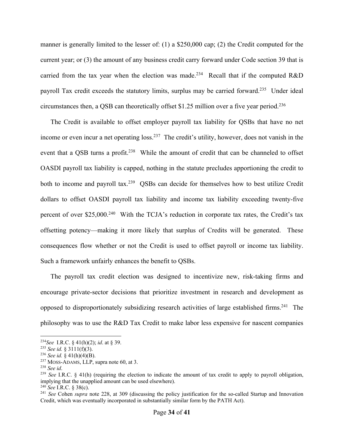manner is generally limited to the lesser of: (1) a \$250,000 cap; (2) the Credit computed for the current year; or (3) the amount of any business credit carry forward under Code section 39 that is carried from the tax year when the election was made.<sup>234</sup> Recall that if the computed R&D payroll Tax credit exceeds the statutory limits, surplus may be carried forward.235 Under ideal circumstances then, a QSB can theoretically offset \$1.25 million over a five year period.236

The Credit is available to offset employer payroll tax liability for QSBs that have no net income or even incur a net operating loss.<sup>237</sup> The credit's utility, however, does not vanish in the event that a QSB turns a profit.<sup>238</sup> While the amount of credit that can be channeled to offset OASDI payroll tax liability is capped, nothing in the statute precludes apportioning the credit to both to income and payroll tax.239 QSBs can decide for themselves how to best utilize Credit dollars to offset OASDI payroll tax liability and income tax liability exceeding twenty-five percent of over \$25,000.<sup>240</sup> With the TCJA's reduction in corporate tax rates, the Credit's tax offsetting potency—making it more likely that surplus of Credits will be generated. These consequences flow whether or not the Credit is used to offset payroll or income tax liability. Such a framework unfairly enhances the benefit to QSBs.

The payroll tax credit election was designed to incentivize new, risk-taking firms and encourage private-sector decisions that prioritize investment in research and development as opposed to disproportionately subsidizing research activities of large established firms.241 The philosophy was to use the R&D Tax Credit to make labor less expensive for nascent companies

<sup>234</sup>*See* I.R.C. § 41(h)(2); *id*. at § 39. 235 *See id.* § 3111(f)(3).

<sup>236</sup> *See id.* § 41(h)(4)(B).

 $237$  MOSS-ADAMS, LLP, supra note 60, at 3.

<sup>238</sup> *See id*.

<sup>239</sup> *See* I.R.C. § 41(h) (requiring the election to indicate the amount of tax credit to apply to payroll obligation, implying that the unapplied amount can be used elsewhere). 240 *See* I.R.C. § 38(c).

<sup>241</sup> *See* Cohen *supra* note 228, at 309 (discussing the policy justification for the so-called Startup and Innovation Credit, which was eventually incorporated in substantially similar form by the PATH Act).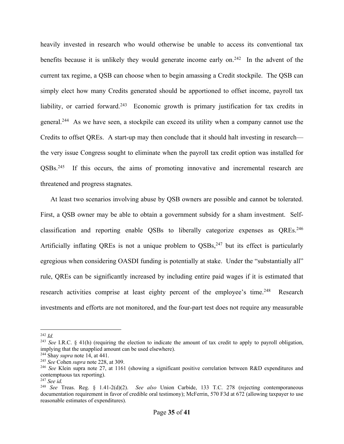heavily invested in research who would otherwise be unable to access its conventional tax benefits because it is unlikely they would generate income early on.<sup>242</sup> In the advent of the current tax regime, a QSB can choose when to begin amassing a Credit stockpile. The QSB can simply elect how many Credits generated should be apportioned to offset income, payroll tax liability, or carried forward.<sup>243</sup> Economic growth is primary justification for tax credits in general.244 As we have seen, a stockpile can exceed its utility when a company cannot use the Credits to offset QREs. A start-up may then conclude that it should halt investing in research the very issue Congress sought to eliminate when the payroll tax credit option was installed for QSBs.245 If this occurs, the aims of promoting innovative and incremental research are threatened and progress stagnates.

At least two scenarios involving abuse by QSB owners are possible and cannot be tolerated. First, a QSB owner may be able to obtain a government subsidy for a sham investment. Selfclassification and reporting enable QSBs to liberally categorize expenses as QREs.<sup>246</sup> Artificially inflating QREs is not a unique problem to QSBs,<sup>247</sup> but its effect is particularly egregious when considering OASDI funding is potentially at stake. Under the "substantially all" rule, QREs can be significantly increased by including entire paid wages if it is estimated that research activities comprise at least eighty percent of the employee's time.<sup>248</sup> Research investments and efforts are not monitored, and the four-part test does not require any measurable

<sup>242</sup> *Id.*

<sup>243</sup> *See* I.R.C. § 41(h) (requiring the election to indicate the amount of tax credit to apply to payroll obligation, implying that the unapplied amount can be used elsewhere).

<sup>&</sup>lt;sup>244</sup> Shay *supra* note 14, at 441.<br><sup>245</sup> See Cohen *supra* note 228, at 309.

<sup>&</sup>lt;sup>246</sup> *See* Klein supra note 27, at 1161 (showing a significant positive correlation between R&D expenditures and contemptuous tax reporting).

<sup>247</sup> *See id.*

<sup>248</sup> *See* Treas. Reg. § 1.41-2(d)(2). *See also* Union Carbide, 133 T.C. 278 (rejecting contemporaneous documentation requirement in favor of credible oral testimony); McFerrin, 570 F3d at 672 (allowing taxpayer to use reasonable estimates of expenditures).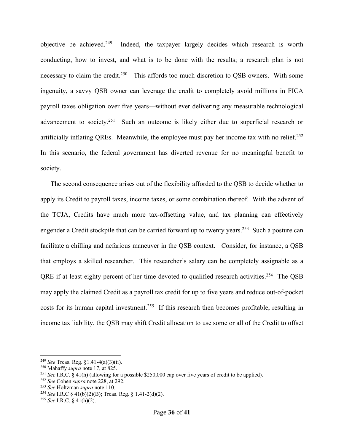objective be achieved.<sup>249</sup> Indeed, the taxpayer largely decides which research is worth conducting, how to invest, and what is to be done with the results; a research plan is not necessary to claim the credit.<sup>250</sup> This affords too much discretion to QSB owners. With some ingenuity, a savvy QSB owner can leverage the credit to completely avoid millions in FICA payroll taxes obligation over five years—without ever delivering any measurable technological advancement to society.<sup>251</sup> Such an outcome is likely either due to superficial research or artificially inflating QREs. Meanwhile, the employee must pay her income tax with no relief.<sup>252</sup> In this scenario, the federal government has diverted revenue for no meaningful benefit to society.

The second consequence arises out of the flexibility afforded to the QSB to decide whether to apply its Credit to payroll taxes, income taxes, or some combination thereof. With the advent of the TCJA, Credits have much more tax-offsetting value, and tax planning can effectively engender a Credit stockpile that can be carried forward up to twenty years.<sup>253</sup> Such a posture can facilitate a chilling and nefarious maneuver in the QSB context. Consider, for instance, a QSB that employs a skilled researcher. This researcher's salary can be completely assignable as a QRE if at least eighty-percent of her time devoted to qualified research activities.<sup>254</sup> The QSB may apply the claimed Credit as a payroll tax credit for up to five years and reduce out-of-pocket costs for its human capital investment.<sup>255</sup> If this research then becomes profitable, resulting in income tax liability, the QSB may shift Credit allocation to use some or all of the Credit to offset

<sup>249</sup> *See* Treas. Reg. §1.41-4(a)(3)(ii).

<sup>250</sup> Mahaffy *supra* note 17, at 825.

<sup>251</sup> *See* I.R.C. § 41(h) (allowing for a possible \$250,000 cap over five years of credit to be applied).

<sup>252</sup> *See* Cohen *supra* note 228, at 292.

<sup>253</sup> *See* Holtzman *supra* note 110.

<sup>254</sup> *See* I.R.C § 41(b)(2)(B); Treas. Reg. § 1.41-2(d)(2).

<sup>255</sup> *See* I.R.C. § 41(h)(2).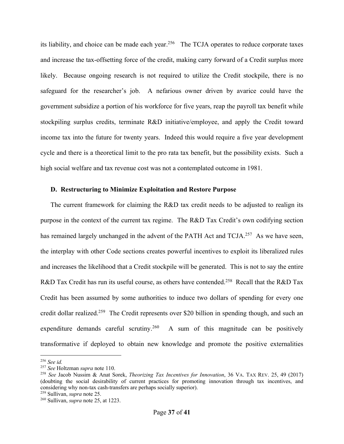its liability, and choice can be made each year.<sup>256</sup> The TCJA operates to reduce corporate taxes and increase the tax-offsetting force of the credit, making carry forward of a Credit surplus more likely. Because ongoing research is not required to utilize the Credit stockpile, there is no safeguard for the researcher's job. A nefarious owner driven by avarice could have the government subsidize a portion of his workforce for five years, reap the payroll tax benefit while stockpiling surplus credits, terminate R&D initiative/employee, and apply the Credit toward income tax into the future for twenty years. Indeed this would require a five year development cycle and there is a theoretical limit to the pro rata tax benefit, but the possibility exists. Such a high social welfare and tax revenue cost was not a contemplated outcome in 1981.

## **D. Restructuring to Minimize Exploitation and Restore Purpose**

The current framework for claiming the R&D tax credit needs to be adjusted to realign its purpose in the context of the current tax regime. The R&D Tax Credit's own codifying section has remained largely unchanged in the advent of the PATH Act and TCJA.<sup>257</sup> As we have seen, the interplay with other Code sections creates powerful incentives to exploit its liberalized rules and increases the likelihood that a Credit stockpile will be generated. This is not to say the entire R&D Tax Credit has run its useful course, as others have contended.<sup>258</sup> Recall that the R&D Tax Credit has been assumed by some authorities to induce two dollars of spending for every one credit dollar realized.<sup>259</sup> The Credit represents over \$20 billion in spending though, and such an expenditure demands careful scrutiny.<sup>260</sup> A sum of this magnitude can be positively transformative if deployed to obtain new knowledge and promote the positive externalities

<sup>259</sup> Sullivan, *supra* note 25.

<sup>256</sup> *See id.*

<sup>&</sup>lt;sup>258</sup> See Jacob Nussim & Anat Sorek, *Theorizing Tax Incentives for Innovation*, 36 VA. TAX REV. 25, 49 (2017) (doubting the social desirability of current practices for promoting innovation through tax incentives, and considering why non-tax cash-transfers are perhaps socially superior).

<sup>260</sup> Sullivan, *supra* note 25, at 1223.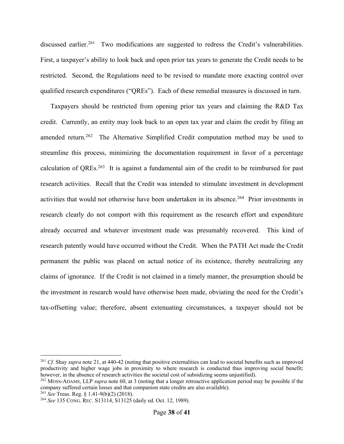discussed earlier.<sup>261</sup> Two modifications are suggested to redress the Credit's vulnerabilities. First, a taxpayer's ability to look back and open prior tax years to generate the Credit needs to be restricted. Second, the Regulations need to be revised to mandate more exacting control over qualified research expenditures ("QREs"). Each of these remedial measures is discussed in turn.

Taxpayers should be restricted from opening prior tax years and claiming the R&D Tax credit. Currently, an entity may look back to an open tax year and claim the credit by filing an amended return.<sup>262</sup> The Alternative Simplified Credit computation method may be used to streamline this process, minimizing the documentation requirement in favor of a percentage calculation of QREs.<sup>263</sup> It is against a fundamental aim of the credit to be reimbursed for past research activities. Recall that the Credit was intended to stimulate investment in development activities that would not otherwise have been undertaken in its absence.<sup>264</sup> Prior investments in research clearly do not comport with this requirement as the research effort and expenditure already occurred and whatever investment made was presumably recovered. This kind of research patently would have occurred without the Credit. When the PATH Act made the Credit permanent the public was placed on actual notice of its existence, thereby neutralizing any claims of ignorance. If the Credit is not claimed in a timely manner, the presumption should be the investment in research would have otherwise been made, obviating the need for the Credit's tax-offsetting value; therefore, absent extenuating circumstances, a taxpayer should not be

<sup>&</sup>lt;sup>261</sup> *Cf.* Shay *supra* note 21, at 440-42 (noting that positive externalities can lead to societal benefits such as improved productivity and higher wage jobs in proximity to where research is conducted thus improving social benefit; however, in the absence of research activities the societal cost of subsidizing seems unjustified).

<sup>262</sup> MOSS-ADAMS, LLP *supra* note 60, at 3 (noting that a longer retroactive application period may be possible if the company suffered certain losses and that companion state credits are also available).<br><sup>263</sup> See Treas. Reg. § 1.41-9(b)(2) (2018).

<sup>&</sup>lt;sup>264</sup> *See* 135 CONG. REC. S13114, S13125 (daily ed. Oct. 12, 1989).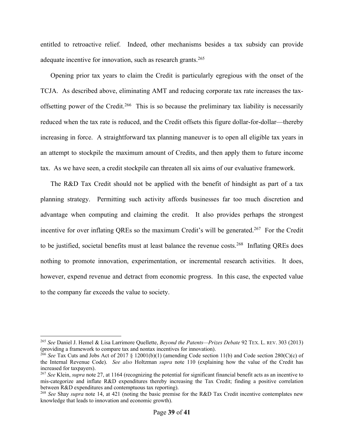entitled to retroactive relief. Indeed, other mechanisms besides a tax subsidy can provide adequate incentive for innovation, such as research grants.<sup>265</sup>

Opening prior tax years to claim the Credit is particularly egregious with the onset of the TCJA. As described above, eliminating AMT and reducing corporate tax rate increases the taxoffsetting power of the Credit.<sup>266</sup> This is so because the preliminary tax liability is necessarily reduced when the tax rate is reduced, and the Credit offsets this figure dollar-for-dollar—thereby increasing in force. A straightforward tax planning maneuver is to open all eligible tax years in an attempt to stockpile the maximum amount of Credits, and then apply them to future income tax. As we have seen, a credit stockpile can threaten all six aims of our evaluative framework.

The R&D Tax Credit should not be applied with the benefit of hindsight as part of a tax planning strategy. Permitting such activity affords businesses far too much discretion and advantage when computing and claiming the credit. It also provides perhaps the strongest incentive for over inflating QREs so the maximum Credit's will be generated.<sup>267</sup> For the Credit to be justified, societal benefits must at least balance the revenue costs.<sup>268</sup> Inflating QREs does nothing to promote innovation, experimentation, or incremental research activities. It does, however, expend revenue and detract from economic progress. In this case, the expected value to the company far exceeds the value to society.

<sup>265</sup> *See* Daniel J. Hemel & Lisa Larrimore Quellette, *Beyond the Patents—Prizes Debate* 92 TEX. L. REV. 303 (2013) (providing a framework to compare tax and nontax incentives for innovation).

<sup>266</sup> *See* Tax Cuts and Jobs Act of 2017 § 12001(b)(1) (amending Code section 11(b) and Code section 280(C)(c) of the Internal Revenue Code). *See also* Holtzman *supra* note 110 (explaining how the value of the Credit has increased for taxpayers).

<sup>267</sup> *See* Klein, *supra* note 27, at 1164 (recognizing the potential for significant financial benefit acts as an incentive to mis-categorize and inflate R&D expenditures thereby increasing the Tax Credit; finding a positive correlation between R&D expenditures and contemptuous tax reporting).

<sup>268</sup> *See* Shay *supra* note 14, at 421 (noting the basic premise for the R&D Tax Credit incentive contemplates new knowledge that leads to innovation and economic growth).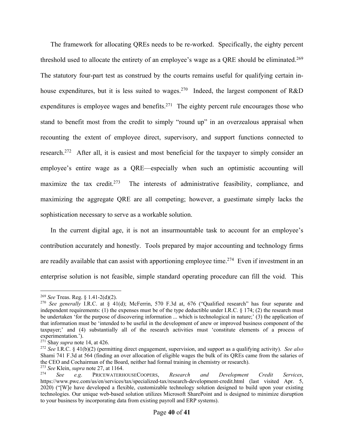The framework for allocating QREs needs to be re-worked. Specifically, the eighty percent threshold used to allocate the entirety of an employee's wage as a QRE should be eliminated.<sup>269</sup> The statutory four-part test as construed by the courts remains useful for qualifying certain inhouse expenditures, but it is less suited to wages.<sup>270</sup> Indeed, the largest component of R&D expenditures is employee wages and benefits.<sup>271</sup> The eighty percent rule encourages those who stand to benefit most from the credit to simply "round up" in an overzealous appraisal when recounting the extent of employee direct, supervisory, and support functions connected to research.<sup>272</sup> After all, it is easiest and most beneficial for the taxpayer to simply consider an employee's entire wage as a QRE—especially when such an optimistic accounting will maximize the tax credit.<sup>273</sup> The interests of administrative feasibility, compliance, and maximizing the aggregate QRE are all competing; however, a guestimate simply lacks the sophistication necessary to serve as a workable solution.

In the current digital age, it is not an insurmountable task to account for an employee's contribution accurately and honestly. Tools prepared by major accounting and technology firms are readily available that can assist with apportioning employee time.<sup>274</sup> Even if investment in an enterprise solution is not feasible, simple standard operating procedure can fill the void. This

<sup>269</sup> *See* Treas. Reg. § 1.41-2(d)(2).

<sup>270</sup> *See generally* I.R.C. at § 41(d); McFerrin, 570 F.3d at, 676 ("Qualified research" has four separate and independent requirements: (1) the expenses must be of the type deductible under I.R.C.  $\S$  174; (2) the research must be undertaken 'for the purpose of discovering information ... which is technological in nature;' (3) the application of that information must be 'intended to be useful in the development of anew or improved business component of the taxpayer;' and (4) substantially all of the research activities must 'constitute elements of a process of experimentation.').

<sup>271</sup> Shay *supra* note 14, at 426.

<sup>272</sup> *See* I.R.C. § 41(b)(2) (permitting direct engagement, supervision, and support as a qualifying activity). *See also*  Shami 741 F.3d at 564 (finding an over allocation of eligible wages the bulk of its QREs came from the salaries of the CEO and Cochairman of the Board, neither had formal training in chemistry or research).

<sup>&</sup>lt;sup>273</sup> *See* Klein, *supra* note 27, at 1164. <sup>274</sup> *See e.g*. PRICEWATERHOUSECOOPERS, *Research and Development Credit Services*, https://www.pwc.com/us/en/services/tax/specialized-tax/research-development-credit.html (last visited Apr. 5, 2020) ("[W]e have developed a flexible, customizable technology solution designed to build upon your existing technologies. Our unique web-based solution utilizes Microsoft SharePoint and is designed to minimize disruption to your business by incorporating data from existing payroll and ERP systems).